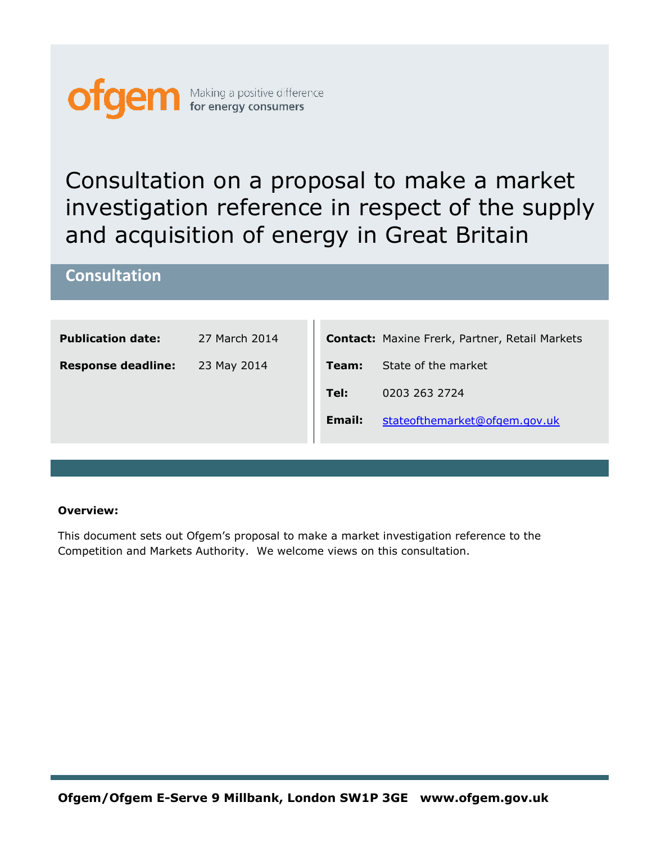

# **Consultation**

| <b>Publication date:</b>  | 27 March 2014 |               | <b>Contact:</b> Maxine Frerk, Partner, Retail Markets |
|---------------------------|---------------|---------------|-------------------------------------------------------|
| <b>Response deadline:</b> | 23 May 2014   | Team:         | State of the market                                   |
|                           |               | Tel:          | 0203 263 2724                                         |
|                           |               | <b>Email:</b> | stateofthemarket@ofgem.gov.uk                         |
|                           |               |               |                                                       |

#### **Overview:**

This document sets out Ofgem's proposal to make a market investigation reference to the Competition and Markets Authority. We welcome views on this consultation.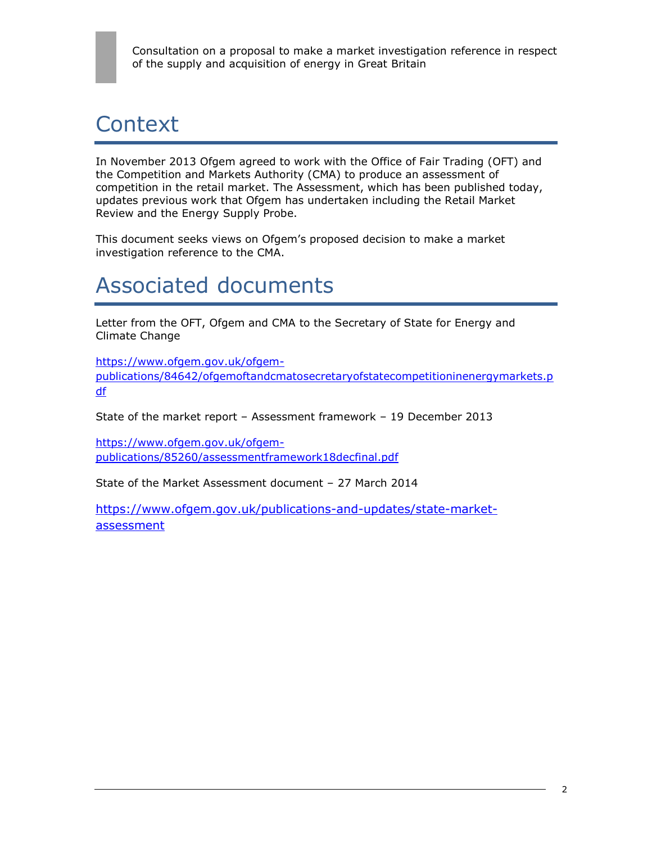# **Context**

In November 2013 Ofgem agreed to work with the Office of Fair Trading (OFT) and the Competition and Markets Authority (CMA) to produce an assessment of competition in the retail market. The Assessment, which has been published today, updates previous work that Ofgem has undertaken including the Retail Market Review and the Energy Supply Probe.

This document seeks views on Ofgem's proposed decision to make a market investigation reference to the CMA.

# Associated documents

Letter from the OFT, Ofgem and CMA to the Secretary of State for Energy and Climate Change

[https://www.ofgem.gov.uk/ofgem](https://www.ofgem.gov.uk/ofgem-publications/84642/ofgemoftandcmatosecretaryofstatecompetitioninenergymarkets.pdf)[publications/84642/ofgemoftandcmatosecretaryofstatecompetitioninenergymarkets.p](https://www.ofgem.gov.uk/ofgem-publications/84642/ofgemoftandcmatosecretaryofstatecompetitioninenergymarkets.pdf) [df](https://www.ofgem.gov.uk/ofgem-publications/84642/ofgemoftandcmatosecretaryofstatecompetitioninenergymarkets.pdf)

State of the market report – Assessment framework – 19 December 2013

[https://www.ofgem.gov.uk/ofgem](https://www.ofgem.gov.uk/ofgem-publications/85260/assessmentframework18decfinal.pdf)[publications/85260/assessmentframework18decfinal.pdf](https://www.ofgem.gov.uk/ofgem-publications/85260/assessmentframework18decfinal.pdf)

State of the Market Assessment document – 27 March 2014

[https://www.ofgem.gov.uk/publications-and-updates/state-market](https://www.ofgem.gov.uk/publications-and-updates/state-market-assessment)[assessment](https://www.ofgem.gov.uk/publications-and-updates/state-market-assessment)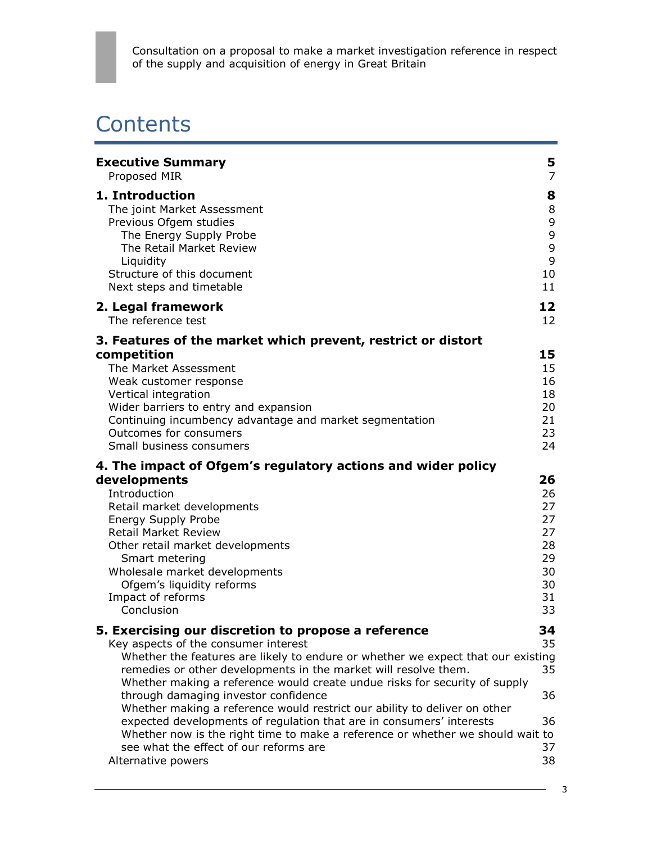# **Contents**

| <b>Executive Summary</b>                                                                                                                                                                                                                                                                                                                                                                                                                                                                                                                                                                                                                                                        | 5                                                              |
|---------------------------------------------------------------------------------------------------------------------------------------------------------------------------------------------------------------------------------------------------------------------------------------------------------------------------------------------------------------------------------------------------------------------------------------------------------------------------------------------------------------------------------------------------------------------------------------------------------------------------------------------------------------------------------|----------------------------------------------------------------|
| Proposed MIR                                                                                                                                                                                                                                                                                                                                                                                                                                                                                                                                                                                                                                                                    | $\overline{7}$                                                 |
| 1. Introduction                                                                                                                                                                                                                                                                                                                                                                                                                                                                                                                                                                                                                                                                 | 8                                                              |
| The joint Market Assessment                                                                                                                                                                                                                                                                                                                                                                                                                                                                                                                                                                                                                                                     | 8                                                              |
| Previous Ofgem studies                                                                                                                                                                                                                                                                                                                                                                                                                                                                                                                                                                                                                                                          | 9                                                              |
| The Energy Supply Probe                                                                                                                                                                                                                                                                                                                                                                                                                                                                                                                                                                                                                                                         | 9                                                              |
| The Retail Market Review                                                                                                                                                                                                                                                                                                                                                                                                                                                                                                                                                                                                                                                        | $\mathsf 9$                                                    |
| Liquidity                                                                                                                                                                                                                                                                                                                                                                                                                                                                                                                                                                                                                                                                       | 9                                                              |
| Structure of this document                                                                                                                                                                                                                                                                                                                                                                                                                                                                                                                                                                                                                                                      | 10                                                             |
| Next steps and timetable                                                                                                                                                                                                                                                                                                                                                                                                                                                                                                                                                                                                                                                        | 11                                                             |
| 2. Legal framework                                                                                                                                                                                                                                                                                                                                                                                                                                                                                                                                                                                                                                                              | 12                                                             |
| The reference test                                                                                                                                                                                                                                                                                                                                                                                                                                                                                                                                                                                                                                                              | 12                                                             |
| 3. Features of the market which prevent, restrict or distort<br>competition<br>The Market Assessment<br>Weak customer response<br>Vertical integration<br>Wider barriers to entry and expansion<br>Continuing incumbency advantage and market segmentation<br>Outcomes for consumers<br>Small business consumers                                                                                                                                                                                                                                                                                                                                                                | 15<br>15<br>16<br>18<br>20<br>21<br>23<br>24                   |
| 4. The impact of Ofgem's regulatory actions and wider policy<br>developments<br>Introduction<br>Retail market developments<br><b>Energy Supply Probe</b><br><b>Retail Market Review</b><br>Other retail market developments<br>Smart metering<br>Wholesale market developments<br>Ofgem's liquidity reforms<br>Impact of reforms<br>Conclusion                                                                                                                                                                                                                                                                                                                                  | 26<br>26<br>27<br>27<br>27<br>28<br>29<br>30<br>30<br>31<br>33 |
| 5. Exercising our discretion to propose a reference<br>Key aspects of the consumer interest<br>Whether the features are likely to endure or whether we expect that our existing<br>remedies or other developments in the market will resolve them.<br>Whether making a reference would create undue risks for security of supply<br>through damaging investor confidence<br>Whether making a reference would restrict our ability to deliver on other<br>expected developments of regulation that are in consumers' interests<br>Whether now is the right time to make a reference or whether we should wait to<br>see what the effect of our reforms are<br>Alternative powers | 34<br>35<br>35<br>36<br>36<br>37<br>38                         |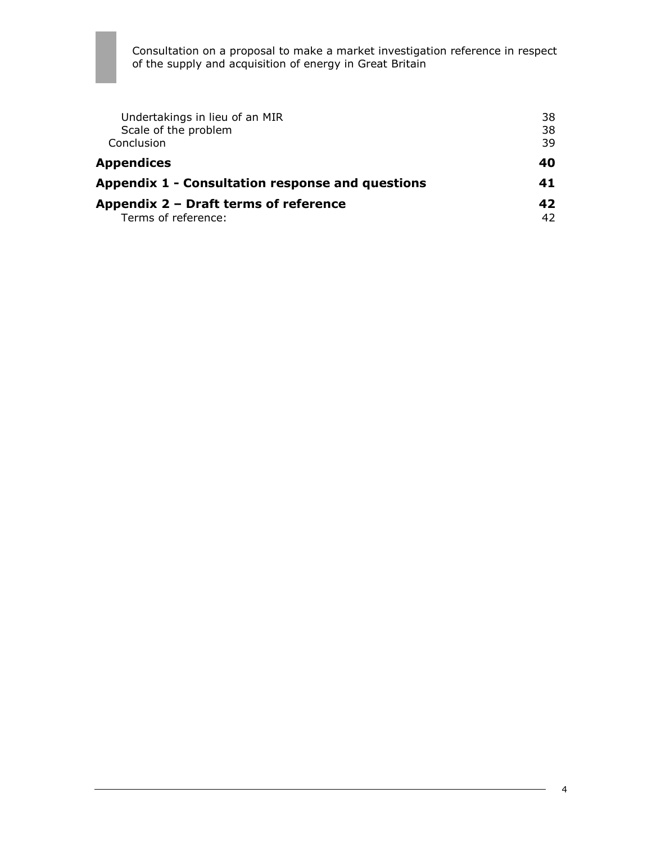| Undertakings in lieu of an MIR                   | 38 |
|--------------------------------------------------|----|
| Scale of the problem                             | 38 |
| Conclusion                                       | 39 |
| <b>Appendices</b>                                | 40 |
| Appendix 1 - Consultation response and questions | 41 |
| Appendix 2 - Draft terms of reference            |    |
| Terms of reference:                              | 42 |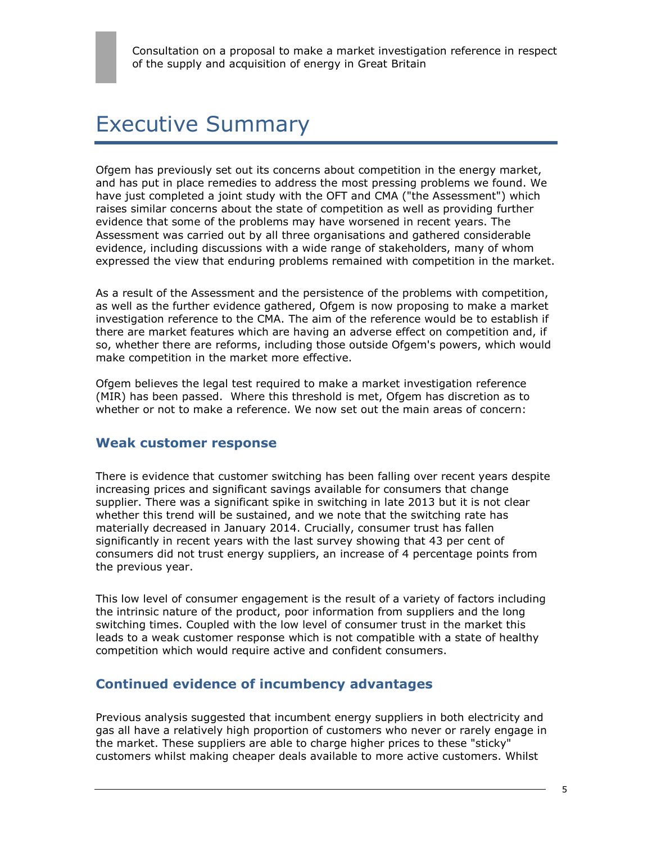# Executive Summary

Ofgem has previously set out its concerns about competition in the energy market, and has put in place remedies to address the most pressing problems we found. We have just completed a joint study with the OFT and CMA ("the Assessment") which raises similar concerns about the state of competition as well as providing further evidence that some of the problems may have worsened in recent years. The Assessment was carried out by all three organisations and gathered considerable evidence, including discussions with a wide range of stakeholders, many of whom expressed the view that enduring problems remained with competition in the market.

As a result of the Assessment and the persistence of the problems with competition, as well as the further evidence gathered, Ofgem is now proposing to make a market investigation reference to the CMA. The aim of the reference would be to establish if there are market features which are having an adverse effect on competition and, if so, whether there are reforms, including those outside Ofgem's powers, which would make competition in the market more effective.

Ofgem believes the legal test required to make a market investigation reference (MIR) has been passed. Where this threshold is met, Ofgem has discretion as to whether or not to make a reference. We now set out the main areas of concern:

### **Weak customer response**

There is evidence that customer switching has been falling over recent years despite increasing prices and significant savings available for consumers that change supplier. There was a significant spike in switching in late 2013 but it is not clear whether this trend will be sustained, and we note that the switching rate has materially decreased in January 2014. Crucially, consumer trust has fallen significantly in recent years with the last survey showing that 43 per cent of consumers did not trust energy suppliers, an increase of 4 percentage points from the previous year.

This low level of consumer engagement is the result of a variety of factors including the intrinsic nature of the product, poor information from suppliers and the long switching times. Coupled with the low level of consumer trust in the market this leads to a weak customer response which is not compatible with a state of healthy competition which would require active and confident consumers.

## **Continued evidence of incumbency advantages**

Previous analysis suggested that incumbent energy suppliers in both electricity and gas all have a relatively high proportion of customers who never or rarely engage in the market. These suppliers are able to charge higher prices to these "sticky" customers whilst making cheaper deals available to more active customers. Whilst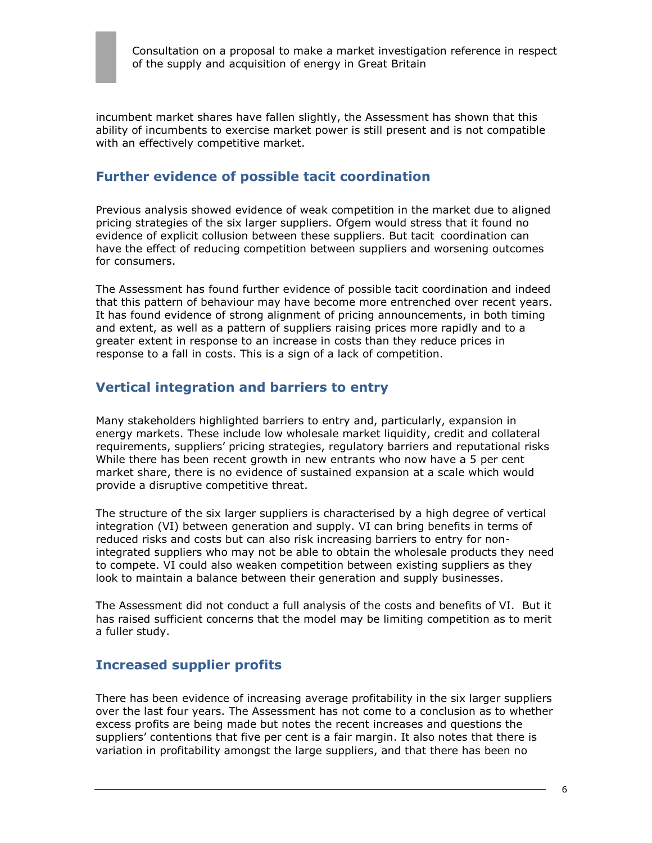incumbent market shares have fallen slightly, the Assessment has shown that this ability of incumbents to exercise market power is still present and is not compatible with an effectively competitive market.

## **Further evidence of possible tacit coordination**

Previous analysis showed evidence of weak competition in the market due to aligned pricing strategies of the six larger suppliers. Ofgem would stress that it found no evidence of explicit collusion between these suppliers. But tacit coordination can have the effect of reducing competition between suppliers and worsening outcomes for consumers.

The Assessment has found further evidence of possible tacit coordination and indeed that this pattern of behaviour may have become more entrenched over recent years. It has found evidence of strong alignment of pricing announcements, in both timing and extent, as well as a pattern of suppliers raising prices more rapidly and to a greater extent in response to an increase in costs than they reduce prices in response to a fall in costs. This is a sign of a lack of competition.

## **Vertical integration and barriers to entry**

Many stakeholders highlighted barriers to entry and, particularly, expansion in energy markets. These include low wholesale market liquidity, credit and collateral requirements, suppliers' pricing strategies, regulatory barriers and reputational risks While there has been recent growth in new entrants who now have a 5 per cent market share, there is no evidence of sustained expansion at a scale which would provide a disruptive competitive threat.

The structure of the six larger suppliers is characterised by a high degree of vertical integration (VI) between generation and supply. VI can bring benefits in terms of reduced risks and costs but can also risk increasing barriers to entry for nonintegrated suppliers who may not be able to obtain the wholesale products they need to compete. VI could also weaken competition between existing suppliers as they look to maintain a balance between their generation and supply businesses.

The Assessment did not conduct a full analysis of the costs and benefits of VI. But it has raised sufficient concerns that the model may be limiting competition as to merit a fuller study.

## **Increased supplier profits**

There has been evidence of increasing average profitability in the six larger suppliers over the last four years. The Assessment has not come to a conclusion as to whether excess profits are being made but notes the recent increases and questions the suppliers' contentions that five per cent is a fair margin. It also notes that there is variation in profitability amongst the large suppliers, and that there has been no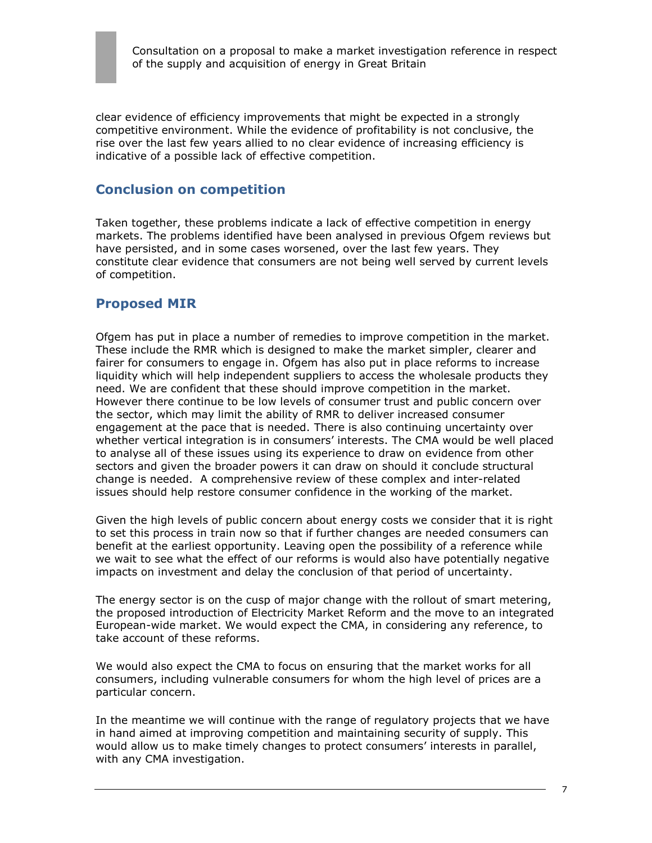

clear evidence of efficiency improvements that might be expected in a strongly competitive environment. While the evidence of profitability is not conclusive, the rise over the last few years allied to no clear evidence of increasing efficiency is indicative of a possible lack of effective competition.

### **Conclusion on competition**

Taken together, these problems indicate a lack of effective competition in energy markets. The problems identified have been analysed in previous Ofgem reviews but have persisted, and in some cases worsened, over the last few years. They constitute clear evidence that consumers are not being well served by current levels of competition.

### **Proposed MIR**

Ofgem has put in place a number of remedies to improve competition in the market. These include the RMR which is designed to make the market simpler, clearer and fairer for consumers to engage in. Ofgem has also put in place reforms to increase liquidity which will help independent suppliers to access the wholesale products they need. We are confident that these should improve competition in the market. However there continue to be low levels of consumer trust and public concern over the sector, which may limit the ability of RMR to deliver increased consumer engagement at the pace that is needed. There is also continuing uncertainty over whether vertical integration is in consumers' interests. The CMA would be well placed to analyse all of these issues using its experience to draw on evidence from other sectors and given the broader powers it can draw on should it conclude structural change is needed. A comprehensive review of these complex and inter-related issues should help restore consumer confidence in the working of the market.

Given the high levels of public concern about energy costs we consider that it is right to set this process in train now so that if further changes are needed consumers can benefit at the earliest opportunity. Leaving open the possibility of a reference while we wait to see what the effect of our reforms is would also have potentially negative impacts on investment and delay the conclusion of that period of uncertainty.

The energy sector is on the cusp of major change with the rollout of smart metering, the proposed introduction of Electricity Market Reform and the move to an integrated European-wide market. We would expect the CMA, in considering any reference, to take account of these reforms.

We would also expect the CMA to focus on ensuring that the market works for all consumers, including vulnerable consumers for whom the high level of prices are a particular concern.

In the meantime we will continue with the range of regulatory projects that we have in hand aimed at improving competition and maintaining security of supply. This would allow us to make timely changes to protect consumers' interests in parallel, with any CMA investigation.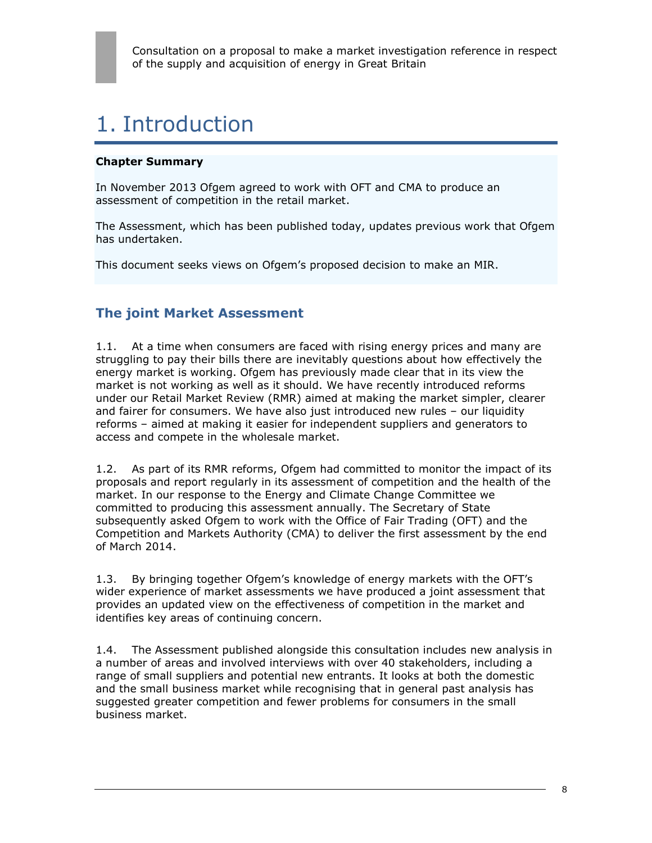# 1. Introduction

#### **Chapter Summary**

In November 2013 Ofgem agreed to work with OFT and CMA to produce an assessment of competition in the retail market.

The Assessment, which has been published today, updates previous work that Ofgem has undertaken.

This document seeks views on Ofgem's proposed decision to make an MIR.

## **The joint Market Assessment**

1.1. At a time when consumers are faced with rising energy prices and many are struggling to pay their bills there are inevitably questions about how effectively the energy market is working. Ofgem has previously made clear that in its view the market is not working as well as it should. We have recently introduced reforms under our Retail Market Review (RMR) aimed at making the market simpler, clearer and fairer for consumers. We have also just introduced new rules – our liquidity reforms – aimed at making it easier for independent suppliers and generators to access and compete in the wholesale market.

1.2. As part of its RMR reforms, Ofgem had committed to monitor the impact of its proposals and report regularly in its assessment of competition and the health of the market. In our response to the Energy and Climate Change Committee we committed to producing this assessment annually. The Secretary of State subsequently asked Ofgem to work with the Office of Fair Trading (OFT) and the Competition and Markets Authority (CMA) to deliver the first assessment by the end of March 2014.

1.3. By bringing together Ofgem's knowledge of energy markets with the OFT's wider experience of market assessments we have produced a joint assessment that provides an updated view on the effectiveness of competition in the market and identifies key areas of continuing concern.

1.4. The Assessment published alongside this consultation includes new analysis in a number of areas and involved interviews with over 40 stakeholders, including a range of small suppliers and potential new entrants. It looks at both the domestic and the small business market while recognising that in general past analysis has suggested greater competition and fewer problems for consumers in the small business market.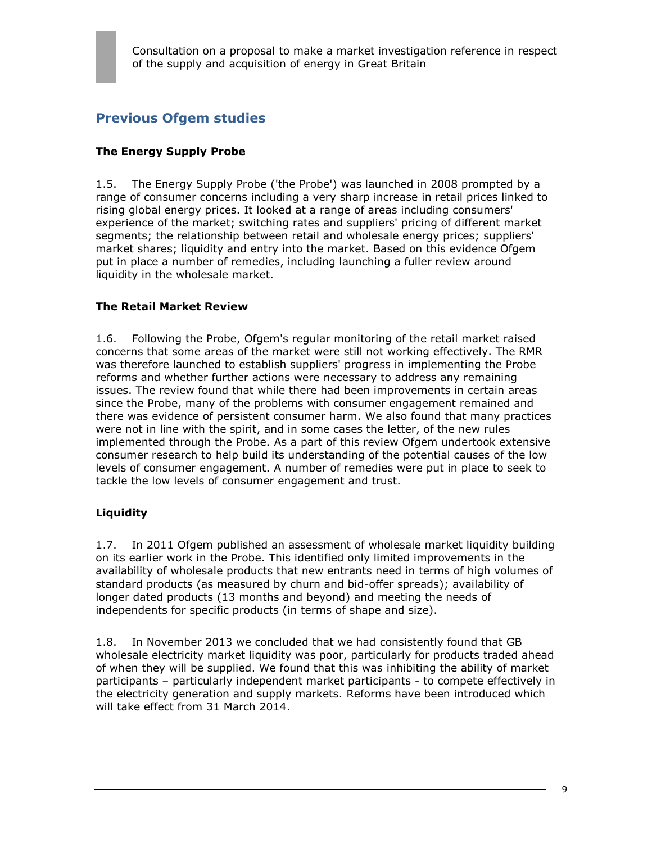# **Previous Ofgem studies**

### **The Energy Supply Probe**

1.5. The Energy Supply Probe ('the Probe') was launched in 2008 prompted by a range of consumer concerns including a very sharp increase in retail prices linked to rising global energy prices. It looked at a range of areas including consumers' experience of the market; switching rates and suppliers' pricing of different market segments; the relationship between retail and wholesale energy prices; suppliers' market shares; liquidity and entry into the market. Based on this evidence Ofgem put in place a number of remedies, including launching a fuller review around liquidity in the wholesale market.

#### **The Retail Market Review**

1.6. Following the Probe, Ofgem's regular monitoring of the retail market raised concerns that some areas of the market were still not working effectively. The RMR was therefore launched to establish suppliers' progress in implementing the Probe reforms and whether further actions were necessary to address any remaining issues. The review found that while there had been improvements in certain areas since the Probe, many of the problems with consumer engagement remained and there was evidence of persistent consumer harm. We also found that many practices were not in line with the spirit, and in some cases the letter, of the new rules implemented through the Probe. As a part of this review Ofgem undertook extensive consumer research to help build its understanding of the potential causes of the low levels of consumer engagement. A number of remedies were put in place to seek to tackle the low levels of consumer engagement and trust.

#### **Liquidity**

1.7. In 2011 Ofgem published an assessment of wholesale market liquidity building on its earlier work in the Probe. This identified only limited improvements in the availability of wholesale products that new entrants need in terms of high volumes of standard products (as measured by churn and bid-offer spreads); availability of longer dated products (13 months and beyond) and meeting the needs of independents for specific products (in terms of shape and size).

1.8. In November 2013 we concluded that we had consistently found that GB wholesale electricity market liquidity was poor, particularly for products traded ahead of when they will be supplied. We found that this was inhibiting the ability of market participants – particularly independent market participants - to compete effectively in the electricity generation and supply markets. Reforms have been introduced which will take effect from 31 March 2014.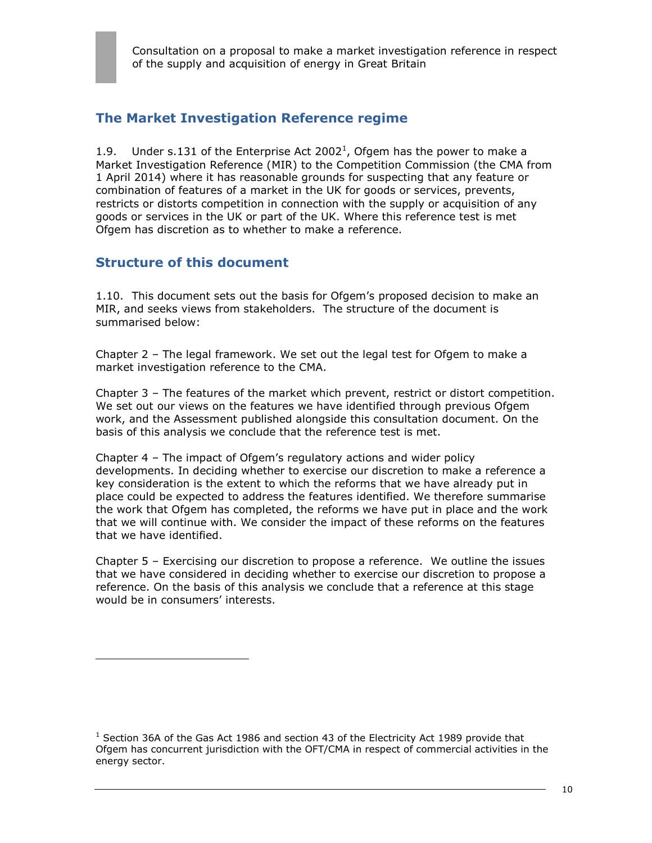## **The Market Investigation Reference regime**

1.9. Under s.131 of the Enterprise Act 2002<sup>1</sup>, Ofgem has the power to make a Market Investigation Reference (MIR) to the Competition Commission (the CMA from 1 April 2014) where it has reasonable grounds for suspecting that any feature or combination of features of a market in the UK for goods or services, prevents, restricts or distorts competition in connection with the supply or acquisition of any goods or services in the UK or part of the UK. Where this reference test is met Ofgem has discretion as to whether to make a reference.

## **Structure of this document**

 $\overline{a}$ 

1.10. This document sets out the basis for Ofgem's proposed decision to make an MIR, and seeks views from stakeholders. The structure of the document is summarised below:

Chapter 2 – The legal framework. We set out the legal test for Ofgem to make a market investigation reference to the CMA.

Chapter 3 – The features of the market which prevent, restrict or distort competition. We set out our views on the features we have identified through previous Ofgem work, and the Assessment published alongside this consultation document. On the basis of this analysis we conclude that the reference test is met.

Chapter 4 – The impact of Ofgem's regulatory actions and wider policy developments. In deciding whether to exercise our discretion to make a reference a key consideration is the extent to which the reforms that we have already put in place could be expected to address the features identified. We therefore summarise the work that Ofgem has completed, the reforms we have put in place and the work that we will continue with. We consider the impact of these reforms on the features that we have identified.

Chapter 5 – Exercising our discretion to propose a reference. We outline the issues that we have considered in deciding whether to exercise our discretion to propose a reference. On the basis of this analysis we conclude that a reference at this stage would be in consumers' interests.

 $1$  Section 36A of the Gas Act 1986 and section 43 of the Electricity Act 1989 provide that Ofgem has concurrent jurisdiction with the OFT/CMA in respect of commercial activities in the energy sector.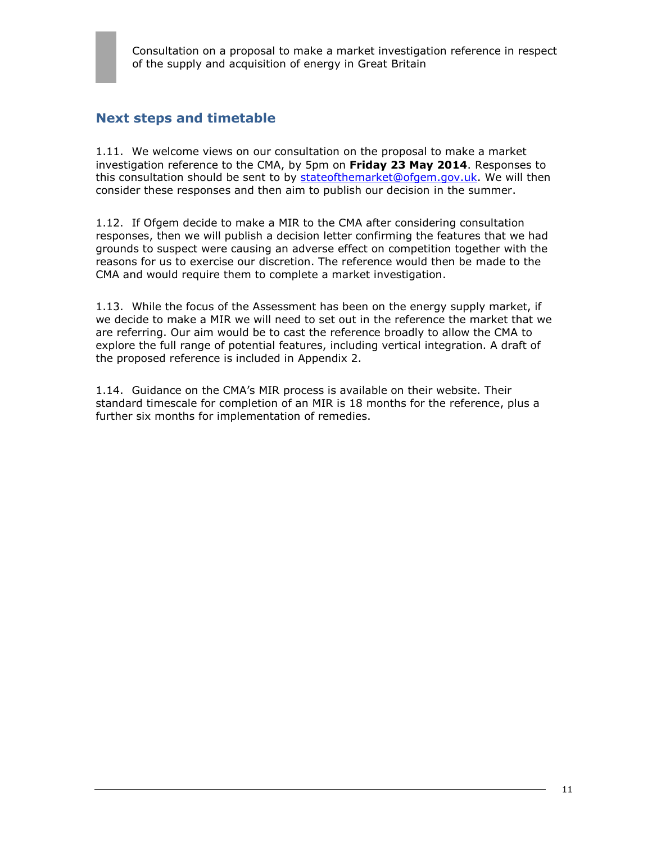## **Next steps and timetable**

1.11. We welcome views on our consultation on the proposal to make a market investigation reference to the CMA, by 5pm on **Friday 23 May 2014**. Responses to this consultation should be sent to by [stateofthemarket@ofgem.gov.uk.](mailto:stateofthemarket@ofgem.gov.uk) We will then consider these responses and then aim to publish our decision in the summer.

1.12. If Ofgem decide to make a MIR to the CMA after considering consultation responses, then we will publish a decision letter confirming the features that we had grounds to suspect were causing an adverse effect on competition together with the reasons for us to exercise our discretion. The reference would then be made to the CMA and would require them to complete a market investigation.

1.13. While the focus of the Assessment has been on the energy supply market, if we decide to make a MIR we will need to set out in the reference the market that we are referring. Our aim would be to cast the reference broadly to allow the CMA to explore the full range of potential features, including vertical integration. A draft of the proposed reference is included in Appendix 2.

1.14. Guidance on the CMA's MIR process is available on their website. Their standard timescale for completion of an MIR is 18 months for the reference, plus a further six months for implementation of remedies.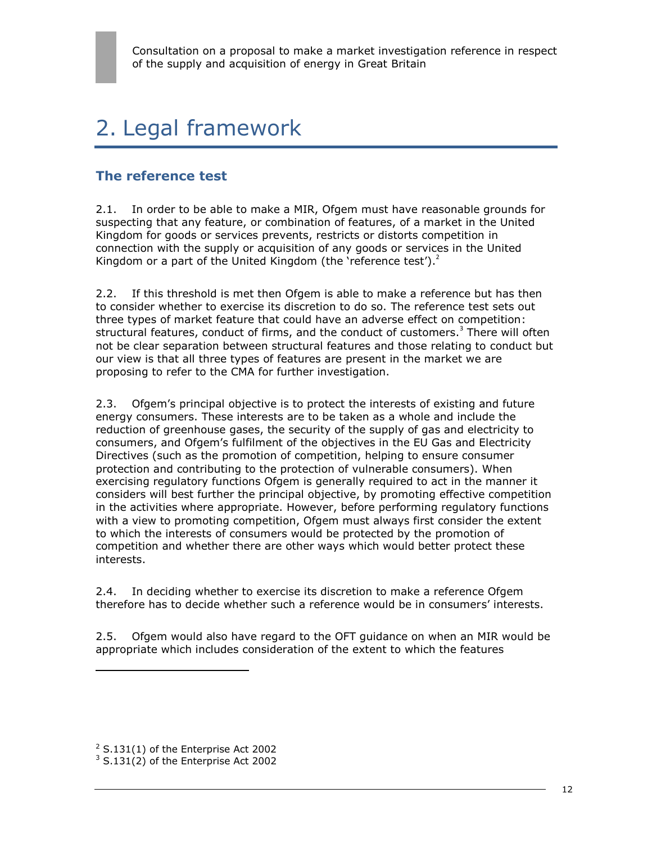# 2. Legal framework

## **The reference test**

2.1. In order to be able to make a MIR, Ofgem must have reasonable grounds for suspecting that any feature, or combination of features, of a market in the United Kingdom for goods or services prevents, restricts or distorts competition in connection with the supply or acquisition of any goods or services in the United Kingdom or a part of the United Kingdom (the 'reference test'). $2$ 

2.2. If this threshold is met then Ofgem is able to make a reference but has then to consider whether to exercise its discretion to do so. The reference test sets out three types of market feature that could have an adverse effect on competition: structural features, conduct of firms, and the conduct of customers.<sup>3</sup> There will often not be clear separation between structural features and those relating to conduct but our view is that all three types of features are present in the market we are proposing to refer to the CMA for further investigation.

2.3. Ofgem's principal objective is to protect the interests of existing and future energy consumers. These interests are to be taken as a whole and include the reduction of greenhouse gases, the security of the supply of gas and electricity to consumers, and Ofgem's fulfilment of the objectives in the EU Gas and Electricity Directives (such as the promotion of competition, helping to ensure consumer protection and contributing to the protection of vulnerable consumers). When exercising regulatory functions Ofgem is generally required to act in the manner it considers will best further the principal objective, by promoting effective competition in the activities where appropriate. However, before performing regulatory functions with a view to promoting competition, Ofgem must always first consider the extent to which the interests of consumers would be protected by the promotion of competition and whether there are other ways which would better protect these interests.

2.4. In deciding whether to exercise its discretion to make a reference Ofgem therefore has to decide whether such a reference would be in consumers' interests.

2.5. Ofgem would also have regard to the OFT guidance on when an MIR would be appropriate which includes consideration of the extent to which the features

 $\overline{a}$ 

 $2$  S.131(1) of the Enterprise Act 2002

 $3$  S.131(2) of the Enterprise Act 2002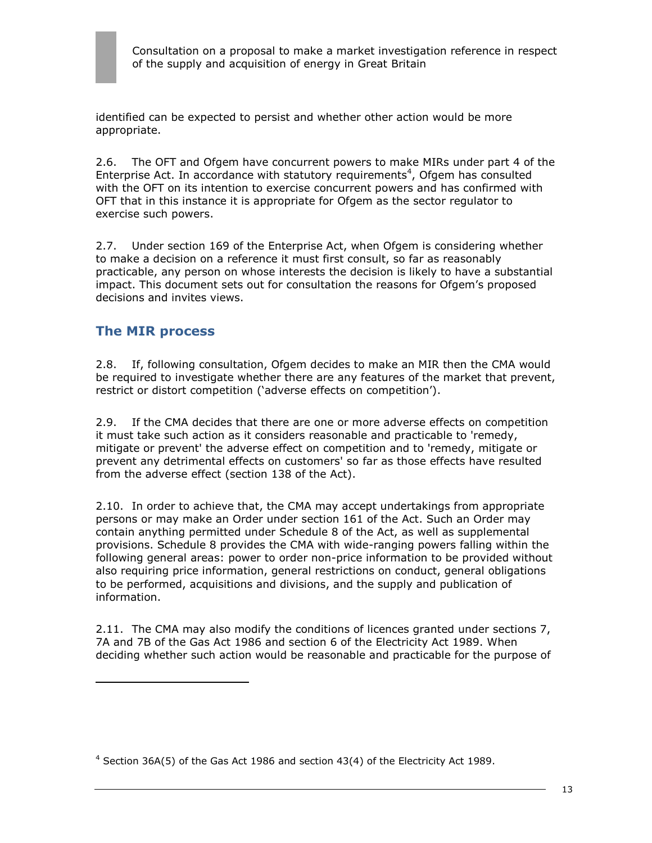identified can be expected to persist and whether other action would be more appropriate.

2.6. The OFT and Ofgem have concurrent powers to make MIRs under part 4 of the Enterprise Act. In accordance with statutory requirements<sup>4</sup>, Ofgem has consulted with the OFT on its intention to exercise concurrent powers and has confirmed with OFT that in this instance it is appropriate for Ofgem as the sector regulator to exercise such powers.

2.7. Under section 169 of the Enterprise Act, when Ofgem is considering whether to make a decision on a reference it must first consult, so far as reasonably practicable, any person on whose interests the decision is likely to have a substantial impact. This document sets out for consultation the reasons for Ofgem's proposed decisions and invites views.

## **The MIR process**

 $\overline{a}$ 

2.8. If, following consultation, Ofgem decides to make an MIR then the CMA would be required to investigate whether there are any features of the market that prevent, restrict or distort competition ('adverse effects on competition').

2.9. If the CMA decides that there are one or more adverse effects on competition it must take such action as it considers reasonable and practicable to 'remedy, mitigate or prevent' the adverse effect on competition and to 'remedy, mitigate or prevent any detrimental effects on customers' so far as those effects have resulted from the adverse effect (section 138 of the Act).

2.10. In order to achieve that, the CMA may accept undertakings from appropriate persons or may make an Order under section 161 of the Act. Such an Order may contain anything permitted under Schedule 8 of the Act, as well as supplemental provisions. Schedule 8 provides the CMA with wide-ranging powers falling within the following general areas: power to order non-price information to be provided without also requiring price information, general restrictions on conduct, general obligations to be performed, acquisitions and divisions, and the supply and publication of information.

2.11. The CMA may also modify the conditions of licences granted under sections 7, 7A and 7B of the Gas Act 1986 and section 6 of the Electricity Act 1989. When deciding whether such action would be reasonable and practicable for the purpose of

 $4$  Section 36A(5) of the Gas Act 1986 and section 43(4) of the Electricity Act 1989.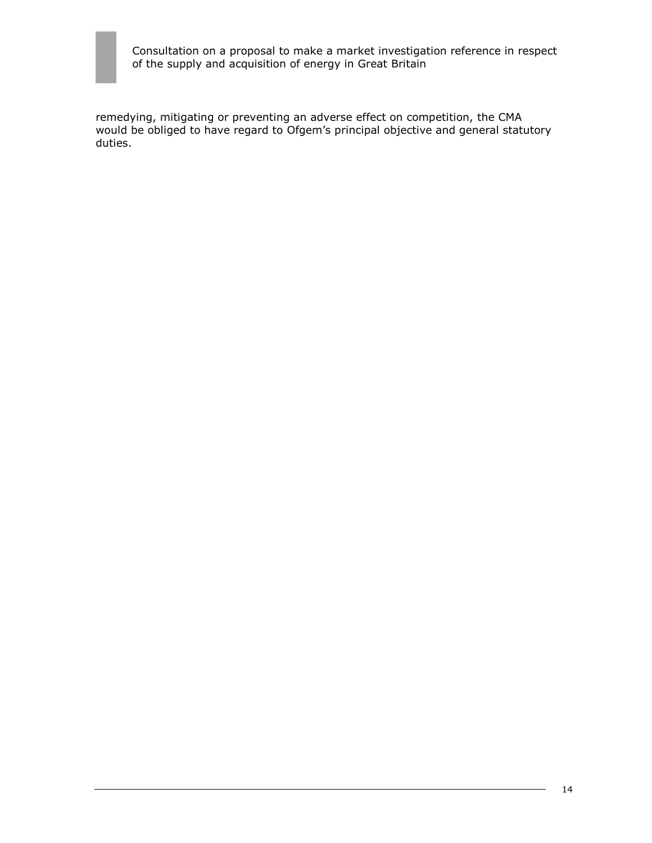

remedying, mitigating or preventing an adverse effect on competition, the CMA would be obliged to have regard to Ofgem's principal objective and general statutory duties.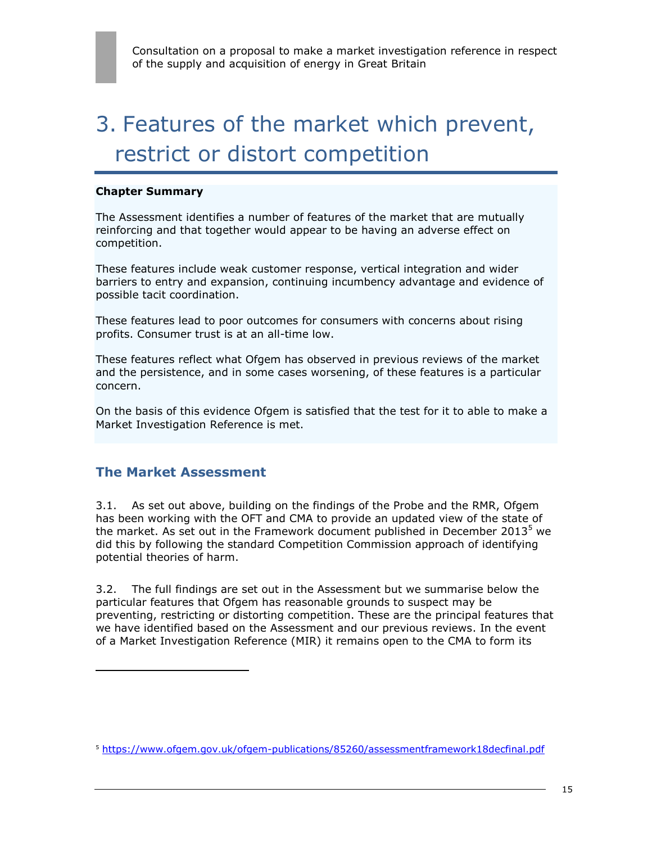# 3. Features of the market which prevent, restrict or distort competition

#### **Chapter Summary**

The Assessment identifies a number of features of the market that are mutually reinforcing and that together would appear to be having an adverse effect on competition.

These features include weak customer response, vertical integration and wider barriers to entry and expansion, continuing incumbency advantage and evidence of possible tacit coordination.

These features lead to poor outcomes for consumers with concerns about rising profits. Consumer trust is at an all-time low.

These features reflect what Ofgem has observed in previous reviews of the market and the persistence, and in some cases worsening, of these features is a particular concern.

On the basis of this evidence Ofgem is satisfied that the test for it to able to make a Market Investigation Reference is met.

### **The Market Assessment**

 $\overline{a}$ 

3.1. As set out above, building on the findings of the Probe and the RMR, Ofgem has been working with the OFT and CMA to provide an updated view of the state of the market. As set out in the Framework document published in December 2013<sup>5</sup> we did this by following the standard Competition Commission approach of identifying potential theories of harm.

3.2. The full findings are set out in the Assessment but we summarise below the particular features that Ofgem has reasonable grounds to suspect may be preventing, restricting or distorting competition. These are the principal features that we have identified based on the Assessment and our previous reviews. In the event of a Market Investigation Reference (MIR) it remains open to the CMA to form its

<sup>5</sup> <https://www.ofgem.gov.uk/ofgem-publications/85260/assessmentframework18decfinal.pdf>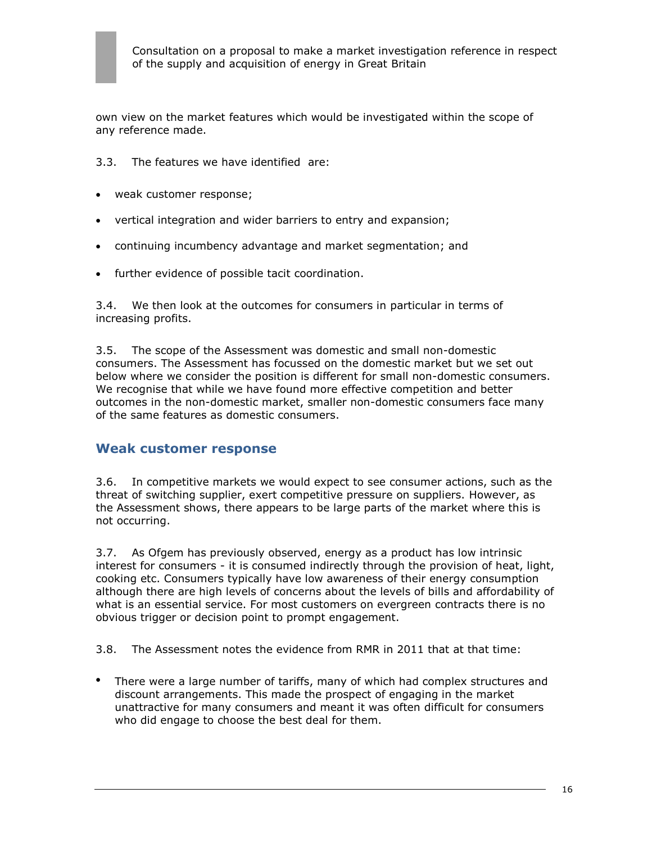own view on the market features which would be investigated within the scope of any reference made.

#### 3.3. The features we have identified are:

- weak customer response;
- vertical integration and wider barriers to entry and expansion;
- continuing incumbency advantage and market segmentation; and
- further evidence of possible tacit coordination.

3.4. We then look at the outcomes for consumers in particular in terms of increasing profits.

3.5. The scope of the Assessment was domestic and small non-domestic consumers. The Assessment has focussed on the domestic market but we set out below where we consider the position is different for small non-domestic consumers. We recognise that while we have found more effective competition and better outcomes in the non-domestic market, smaller non-domestic consumers face many of the same features as domestic consumers.

### **Weak customer response**

3.6. In competitive markets we would expect to see consumer actions, such as the threat of switching supplier, exert competitive pressure on suppliers. However, as the Assessment shows, there appears to be large parts of the market where this is not occurring.

3.7. As Ofgem has previously observed, energy as a product has low intrinsic interest for consumers - it is consumed indirectly through the provision of heat, light, cooking etc. Consumers typically have low awareness of their energy consumption although there are high levels of concerns about the levels of bills and affordability of what is an essential service. For most customers on evergreen contracts there is no obvious trigger or decision point to prompt engagement.

3.8. The Assessment notes the evidence from RMR in 2011 that at that time:

 There were a large number of tariffs, many of which had complex structures and discount arrangements. This made the prospect of engaging in the market unattractive for many consumers and meant it was often difficult for consumers who did engage to choose the best deal for them.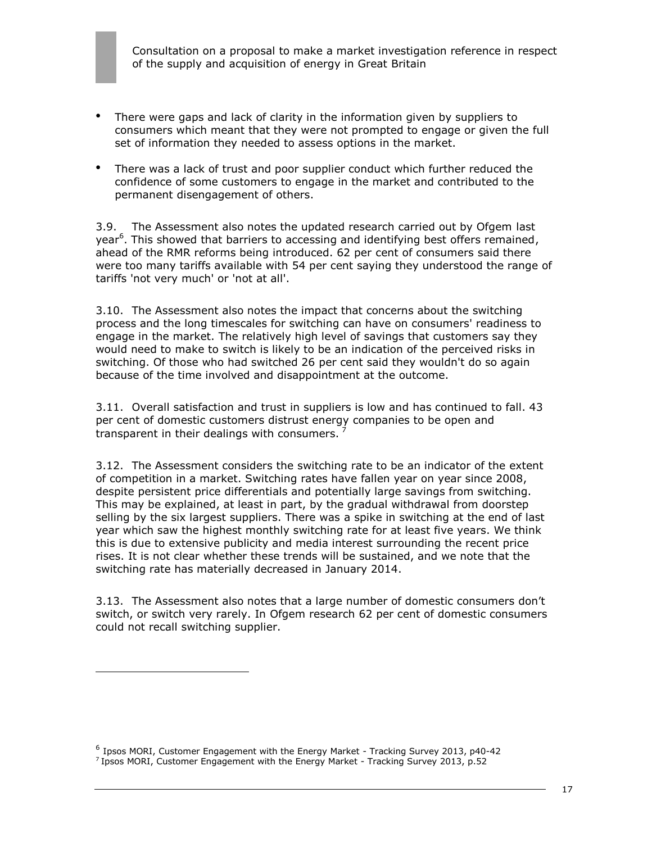- There were gaps and lack of clarity in the information given by suppliers to consumers which meant that they were not prompted to engage or given the full set of information they needed to assess options in the market.
- There was a lack of trust and poor supplier conduct which further reduced the confidence of some customers to engage in the market and contributed to the permanent disengagement of others.

3.9. The Assessment also notes the updated research carried out by Ofgem last year<sup>6</sup>. This showed that barriers to accessing and identifying best offers remained, ahead of the RMR reforms being introduced. 62 per cent of consumers said there were too many tariffs available with 54 per cent saying they understood the range of tariffs 'not very much' or 'not at all'.

3.10. The Assessment also notes the impact that concerns about the switching process and the long timescales for switching can have on consumers' readiness to engage in the market. The relatively high level of savings that customers say they would need to make to switch is likely to be an indication of the perceived risks in switching. Of those who had switched 26 per cent said they wouldn't do so again because of the time involved and disappointment at the outcome.

3.11. Overall satisfaction and trust in suppliers is low and has continued to fall. 43 per cent of domestic customers distrust energy companies to be open and transparent in their dealings with consumers.  $\frac{7}{1}$ 

3.12. The Assessment considers the switching rate to be an indicator of the extent of competition in a market. Switching rates have fallen year on year since 2008, despite persistent price differentials and potentially large savings from switching. This may be explained, at least in part, by the gradual withdrawal from doorstep selling by the six largest suppliers. There was a spike in switching at the end of last year which saw the highest monthly switching rate for at least five years. We think this is due to extensive publicity and media interest surrounding the recent price rises. It is not clear whether these trends will be sustained, and we note that the switching rate has materially decreased in January 2014.

3.13. The Assessment also notes that a large number of domestic consumers don't switch, or switch very rarely. In Ofgem research 62 per cent of domestic consumers could not recall switching supplier.

 $\overline{a}$ 

<sup>6</sup> Ipsos MORI, Customer Engagement with the Energy Market - Tracking Survey 2013, p40-42

<sup>&</sup>lt;sup>7</sup> Ipsos MORI, Customer Engagement with the Energy Market - Tracking Survey 2013, p.52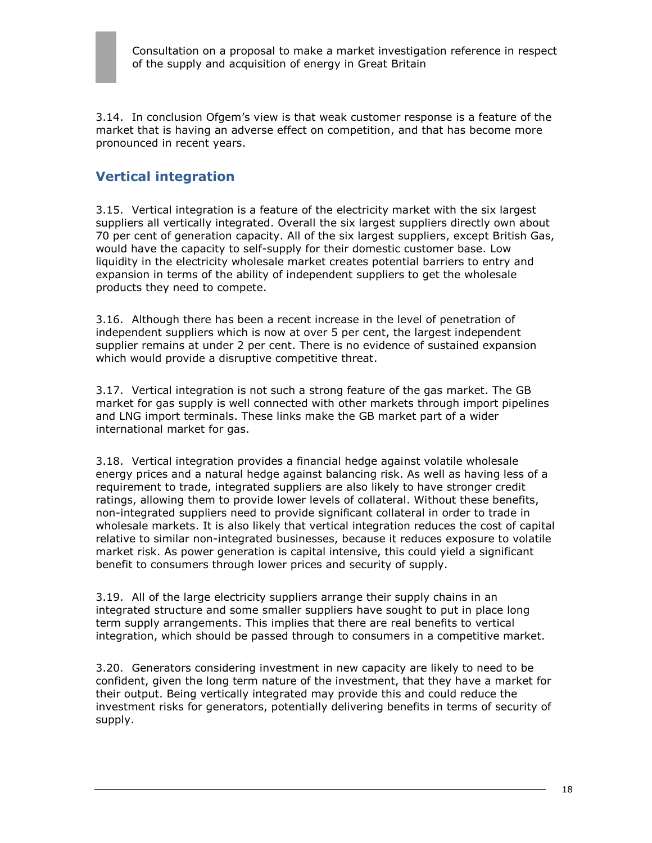

3.14. In conclusion Ofgem's view is that weak customer response is a feature of the market that is having an adverse effect on competition, and that has become more pronounced in recent years.

## **Vertical integration**

3.15. Vertical integration is a feature of the electricity market with the six largest suppliers all vertically integrated. Overall the six largest suppliers directly own about 70 per cent of generation capacity. All of the six largest suppliers, except British Gas, would have the capacity to self-supply for their domestic customer base. Low liquidity in the electricity wholesale market creates potential barriers to entry and expansion in terms of the ability of independent suppliers to get the wholesale products they need to compete.

3.16. Although there has been a recent increase in the level of penetration of independent suppliers which is now at over 5 per cent, the largest independent supplier remains at under 2 per cent. There is no evidence of sustained expansion which would provide a disruptive competitive threat.

3.17. Vertical integration is not such a strong feature of the gas market. The GB market for gas supply is well connected with other markets through import pipelines and LNG import terminals. These links make the GB market part of a wider international market for gas.

3.18. Vertical integration provides a financial hedge against volatile wholesale energy prices and a natural hedge against balancing risk. As well as having less of a requirement to trade, integrated suppliers are also likely to have stronger credit ratings, allowing them to provide lower levels of collateral. Without these benefits, non-integrated suppliers need to provide significant collateral in order to trade in wholesale markets. It is also likely that vertical integration reduces the cost of capital relative to similar non-integrated businesses, because it reduces exposure to volatile market risk. As power generation is capital intensive, this could yield a significant benefit to consumers through lower prices and security of supply.

3.19. All of the large electricity suppliers arrange their supply chains in an integrated structure and some smaller suppliers have sought to put in place long term supply arrangements. This implies that there are real benefits to vertical integration, which should be passed through to consumers in a competitive market.

3.20. Generators considering investment in new capacity are likely to need to be confident, given the long term nature of the investment, that they have a market for their output. Being vertically integrated may provide this and could reduce the investment risks for generators, potentially delivering benefits in terms of security of supply.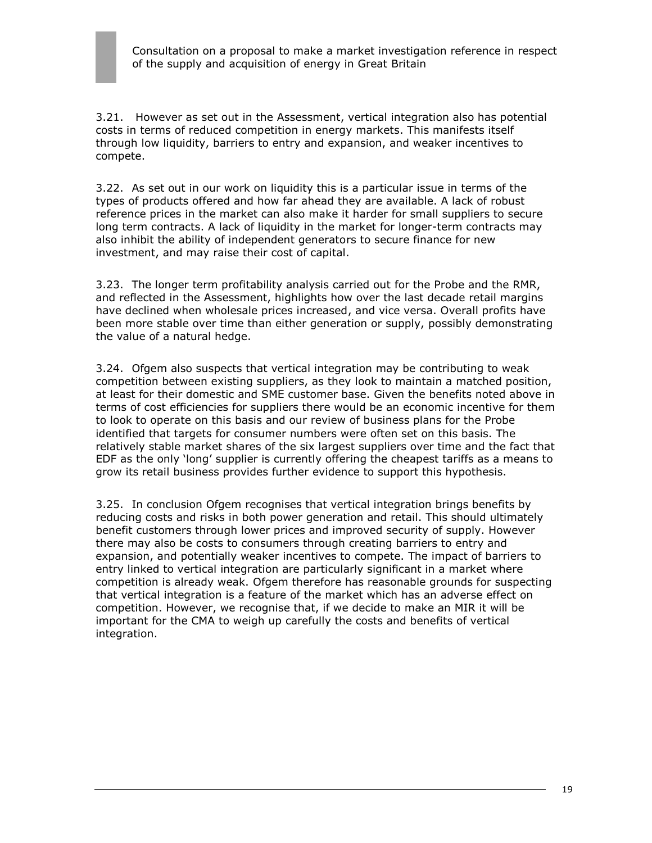3.21. However as set out in the Assessment, vertical integration also has potential costs in terms of reduced competition in energy markets. This manifests itself through low liquidity, barriers to entry and expansion, and weaker incentives to compete.

3.22. As set out in our work on liquidity this is a particular issue in terms of the types of products offered and how far ahead they are available. A lack of robust reference prices in the market can also make it harder for small suppliers to secure long term contracts. A lack of liquidity in the market for longer-term contracts may also inhibit the ability of independent generators to secure finance for new investment, and may raise their cost of capital.

3.23. The longer term profitability analysis carried out for the Probe and the RMR, and reflected in the Assessment, highlights how over the last decade retail margins have declined when wholesale prices increased, and vice versa. Overall profits have been more stable over time than either generation or supply, possibly demonstrating the value of a natural hedge.

3.24. Ofgem also suspects that vertical integration may be contributing to weak competition between existing suppliers, as they look to maintain a matched position, at least for their domestic and SME customer base. Given the benefits noted above in terms of cost efficiencies for suppliers there would be an economic incentive for them to look to operate on this basis and our review of business plans for the Probe identified that targets for consumer numbers were often set on this basis. The relatively stable market shares of the six largest suppliers over time and the fact that EDF as the only 'long' supplier is currently offering the cheapest tariffs as a means to grow its retail business provides further evidence to support this hypothesis.

3.25. In conclusion Ofgem recognises that vertical integration brings benefits by reducing costs and risks in both power generation and retail. This should ultimately benefit customers through lower prices and improved security of supply. However there may also be costs to consumers through creating barriers to entry and expansion, and potentially weaker incentives to compete. The impact of barriers to entry linked to vertical integration are particularly significant in a market where competition is already weak. Ofgem therefore has reasonable grounds for suspecting that vertical integration is a feature of the market which has an adverse effect on competition. However, we recognise that, if we decide to make an MIR it will be important for the CMA to weigh up carefully the costs and benefits of vertical integration.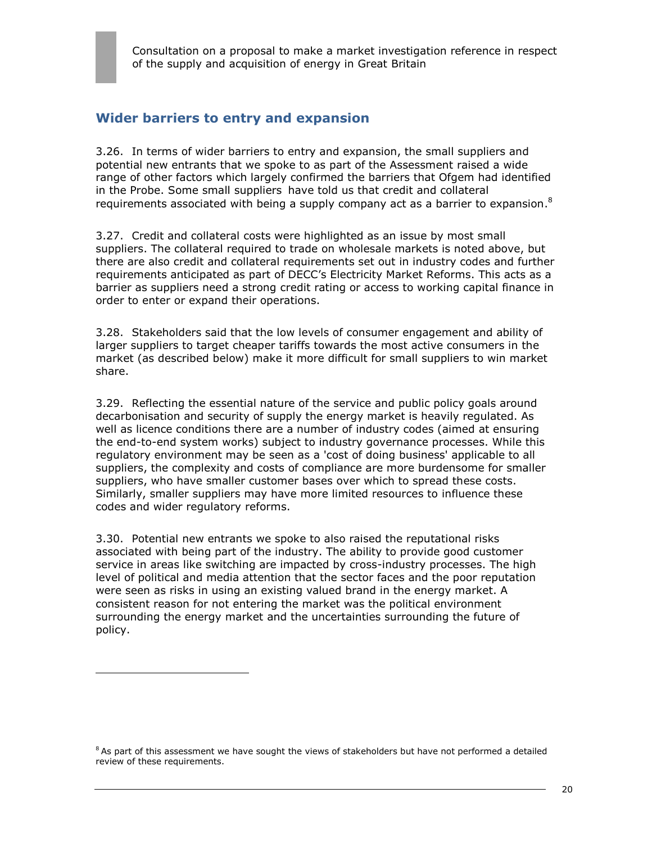## **Wider barriers to entry and expansion**

3.26. In terms of wider barriers to entry and expansion, the small suppliers and potential new entrants that we spoke to as part of the Assessment raised a wide range of other factors which largely confirmed the barriers that Ofgem had identified in the Probe. Some small suppliers have told us that credit and collateral requirements associated with being a supply company act as a barrier to expansion.<sup>8</sup>

3.27. Credit and collateral costs were highlighted as an issue by most small suppliers. The collateral required to trade on wholesale markets is noted above, but there are also credit and collateral requirements set out in industry codes and further requirements anticipated as part of DECC's Electricity Market Reforms. This acts as a barrier as suppliers need a strong credit rating or access to working capital finance in order to enter or expand their operations.

3.28. Stakeholders said that the low levels of consumer engagement and ability of larger suppliers to target cheaper tariffs towards the most active consumers in the market (as described below) make it more difficult for small suppliers to win market share.

3.29. Reflecting the essential nature of the service and public policy goals around decarbonisation and security of supply the energy market is heavily regulated. As well as licence conditions there are a number of industry codes (aimed at ensuring the end-to-end system works) subject to industry governance processes. While this regulatory environment may be seen as a 'cost of doing business' applicable to all suppliers, the complexity and costs of compliance are more burdensome for smaller suppliers, who have smaller customer bases over which to spread these costs. Similarly, smaller suppliers may have more limited resources to influence these codes and wider regulatory reforms.

3.30. Potential new entrants we spoke to also raised the reputational risks associated with being part of the industry. The ability to provide good customer service in areas like switching are impacted by cross-industry processes. The high level of political and media attention that the sector faces and the poor reputation were seen as risks in using an existing valued brand in the energy market. A consistent reason for not entering the market was the political environment surrounding the energy market and the uncertainties surrounding the future of policy.

 $\overline{a}$ 

 $8$  As part of this assessment we have sought the views of stakeholders but have not performed a detailed review of these requirements.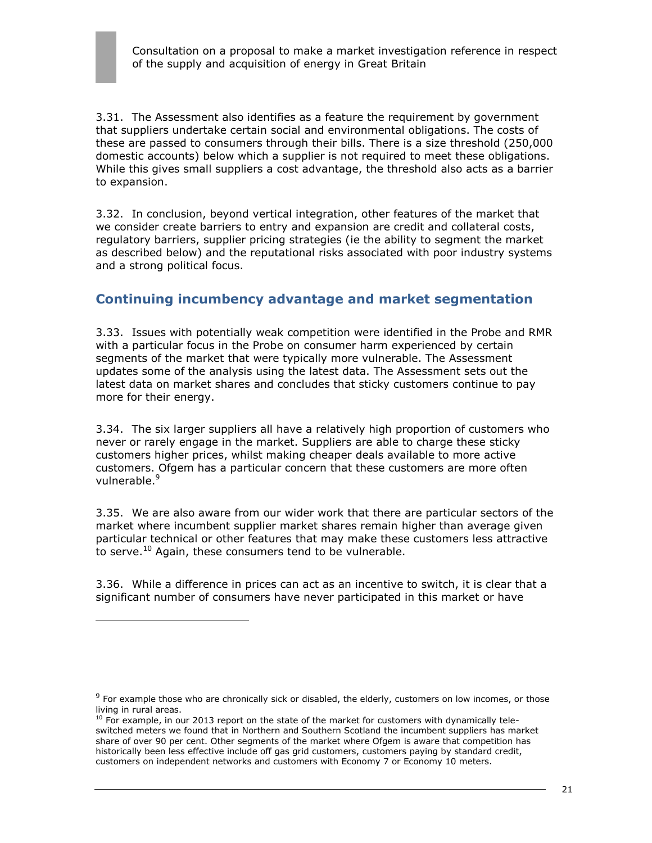

3.31. The Assessment also identifies as a feature the requirement by government that suppliers undertake certain social and environmental obligations. The costs of these are passed to consumers through their bills. There is a size threshold (250,000 domestic accounts) below which a supplier is not required to meet these obligations. While this gives small suppliers a cost advantage, the threshold also acts as a barrier to expansion.

3.32. In conclusion, beyond vertical integration, other features of the market that we consider create barriers to entry and expansion are credit and collateral costs, regulatory barriers, supplier pricing strategies (ie the ability to segment the market as described below) and the reputational risks associated with poor industry systems and a strong political focus.

## **Continuing incumbency advantage and market segmentation**

3.33. Issues with potentially weak competition were identified in the Probe and RMR with a particular focus in the Probe on consumer harm experienced by certain segments of the market that were typically more vulnerable. The Assessment updates some of the analysis using the latest data. The Assessment sets out the latest data on market shares and concludes that sticky customers continue to pay more for their energy.

3.34. The six larger suppliers all have a relatively high proportion of customers who never or rarely engage in the market. Suppliers are able to charge these sticky customers higher prices, whilst making cheaper deals available to more active customers. Ofgem has a particular concern that these customers are more often vulnerable.<sup>9</sup>

3.35. We are also aware from our wider work that there are particular sectors of the market where incumbent supplier market shares remain higher than average given particular technical or other features that may make these customers less attractive to serve. $^{10}$  Again, these consumers tend to be vulnerable.

3.36. While a difference in prices can act as an incentive to switch, it is clear that a significant number of consumers have never participated in this market or have

 $\overline{a}$ 

 $9$  For example those who are chronically sick or disabled, the elderly, customers on low incomes, or those living in rural areas.

 $10$  For example, in our 2013 report on the state of the market for customers with dynamically teleswitched meters we found that in Northern and Southern Scotland the incumbent suppliers has market share of over 90 per cent. Other segments of the market where Ofgem is aware that competition has historically been less effective include off gas grid customers, customers paying by standard credit, customers on independent networks and customers with Economy 7 or Economy 10 meters.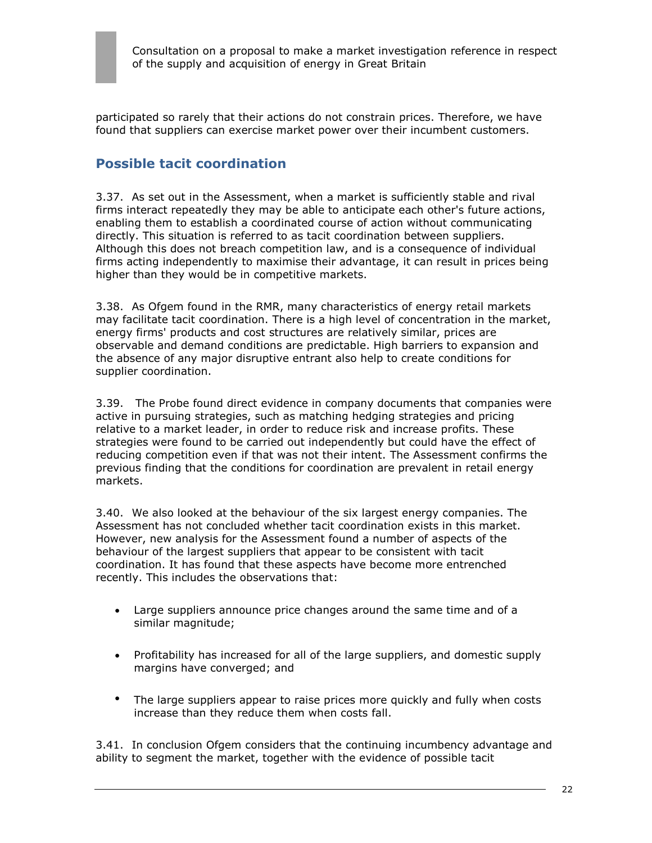participated so rarely that their actions do not constrain prices. Therefore, we have found that suppliers can exercise market power over their incumbent customers.

## **Possible tacit coordination**

3.37. As set out in the Assessment, when a market is sufficiently stable and rival firms interact repeatedly they may be able to anticipate each other's future actions, enabling them to establish a coordinated course of action without communicating directly. This situation is referred to as tacit coordination between suppliers. Although this does not breach competition law, and is a consequence of individual firms acting independently to maximise their advantage, it can result in prices being higher than they would be in competitive markets.

3.38. As Ofgem found in the RMR, many characteristics of energy retail markets may facilitate tacit coordination. There is a high level of concentration in the market, energy firms' products and cost structures are relatively similar, prices are observable and demand conditions are predictable. High barriers to expansion and the absence of any major disruptive entrant also help to create conditions for supplier coordination.

3.39. The Probe found direct evidence in company documents that companies were active in pursuing strategies, such as matching hedging strategies and pricing relative to a market leader, in order to reduce risk and increase profits. These strategies were found to be carried out independently but could have the effect of reducing competition even if that was not their intent. The Assessment confirms the previous finding that the conditions for coordination are prevalent in retail energy markets.

3.40. We also looked at the behaviour of the six largest energy companies. The Assessment has not concluded whether tacit coordination exists in this market. However, new analysis for the Assessment found a number of aspects of the behaviour of the largest suppliers that appear to be consistent with tacit coordination. It has found that these aspects have become more entrenched recently. This includes the observations that:

- Large suppliers announce price changes around the same time and of a similar magnitude;
- Profitability has increased for all of the large suppliers, and domestic supply margins have converged; and
- The large suppliers appear to raise prices more quickly and fully when costs increase than they reduce them when costs fall.

3.41. In conclusion Ofgem considers that the continuing incumbency advantage and ability to segment the market, together with the evidence of possible tacit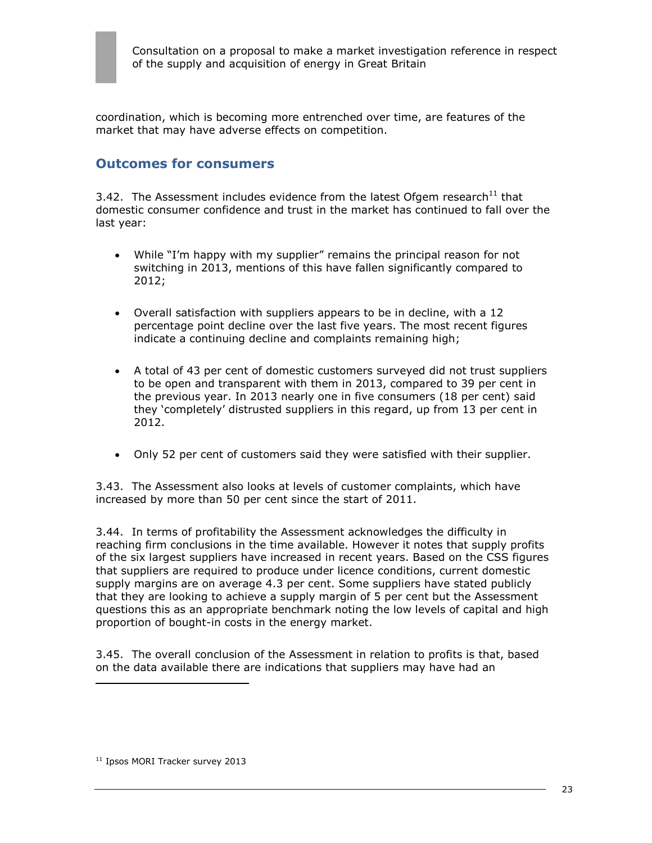coordination, which is becoming more entrenched over time, are features of the market that may have adverse effects on competition.

### **Outcomes for consumers**

3.42. The Assessment includes evidence from the latest Ofgem research $^{11}$  that domestic consumer confidence and trust in the market has continued to fall over the last year:

- While "I'm happy with my supplier" remains the principal reason for not switching in 2013, mentions of this have fallen significantly compared to 2012;
- Overall satisfaction with suppliers appears to be in decline, with a 12 percentage point decline over the last five years. The most recent figures indicate a continuing decline and complaints remaining high;
- A total of 43 per cent of domestic customers surveyed did not trust suppliers to be open and transparent with them in 2013, compared to 39 per cent in the previous year. In 2013 nearly one in five consumers (18 per cent) said they 'completely' distrusted suppliers in this regard, up from 13 per cent in 2012.
- Only 52 per cent of customers said they were satisfied with their supplier.

3.43. The Assessment also looks at levels of customer complaints, which have increased by more than 50 per cent since the start of 2011.

3.44. In terms of profitability the Assessment acknowledges the difficulty in reaching firm conclusions in the time available. However it notes that supply profits of the six largest suppliers have increased in recent years. Based on the CSS figures that suppliers are required to produce under licence conditions, current domestic supply margins are on average 4.3 per cent. Some suppliers have stated publicly that they are looking to achieve a supply margin of 5 per cent but the Assessment questions this as an appropriate benchmark noting the low levels of capital and high proportion of bought-in costs in the energy market.

3.45. The overall conclusion of the Assessment in relation to profits is that, based on the data available there are indications that suppliers may have had an

 $\overline{a}$ 

<sup>&</sup>lt;sup>11</sup> Ipsos MORI Tracker survey 2013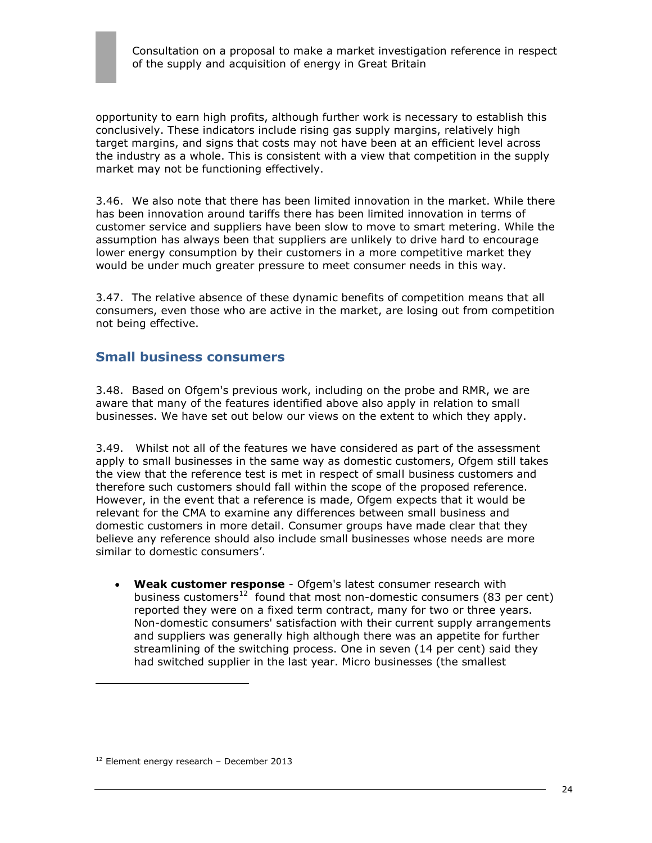

opportunity to earn high profits, although further work is necessary to establish this conclusively. These indicators include rising gas supply margins, relatively high target margins, and signs that costs may not have been at an efficient level across the industry as a whole. This is consistent with a view that competition in the supply market may not be functioning effectively.

3.46. We also note that there has been limited innovation in the market. While there has been innovation around tariffs there has been limited innovation in terms of customer service and suppliers have been slow to move to smart metering. While the assumption has always been that suppliers are unlikely to drive hard to encourage lower energy consumption by their customers in a more competitive market they would be under much greater pressure to meet consumer needs in this way.

3.47. The relative absence of these dynamic benefits of competition means that all consumers, even those who are active in the market, are losing out from competition not being effective.

### **Small business consumers**

3.48. Based on Ofgem's previous work, including on the probe and RMR, we are aware that many of the features identified above also apply in relation to small businesses. We have set out below our views on the extent to which they apply.

3.49. Whilst not all of the features we have considered as part of the assessment apply to small businesses in the same way as domestic customers, Ofgem still takes the view that the reference test is met in respect of small business customers and therefore such customers should fall within the scope of the proposed reference. However, in the event that a reference is made, Ofgem expects that it would be relevant for the CMA to examine any differences between small business and domestic customers in more detail. Consumer groups have made clear that they believe any reference should also include small businesses whose needs are more similar to domestic consumers'.

 **Weak customer response** - Ofgem's latest consumer research with business customers<sup>12</sup> found that most non-domestic consumers (83 per cent) reported they were on a fixed term contract, many for two or three years. Non-domestic consumers' satisfaction with their current supply arrangements and suppliers was generally high although there was an appetite for further streamlining of the switching process. One in seven (14 per cent) said they had switched supplier in the last year. Micro businesses (the smallest

 $\overline{a}$ 

 $12$  Element energy research - December 2013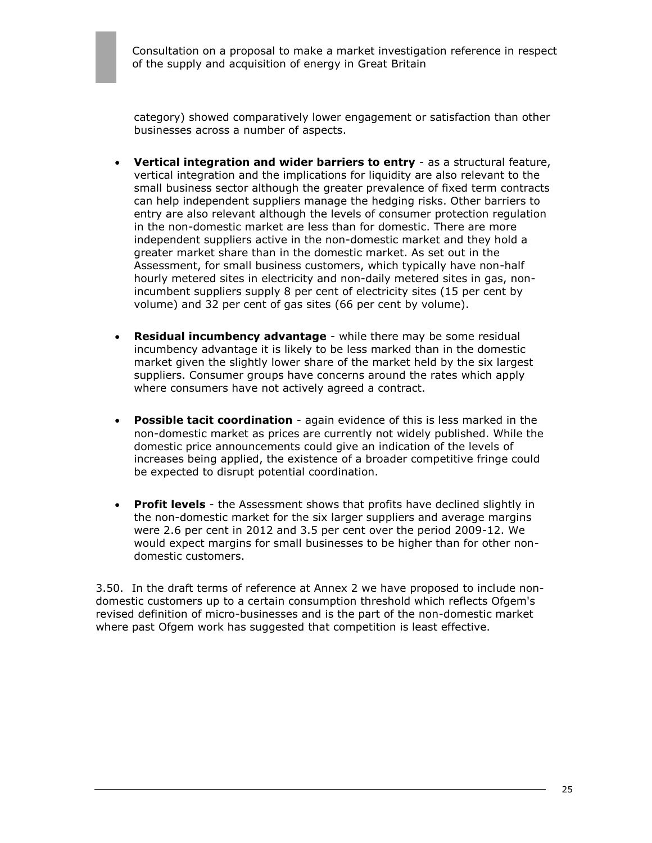category) showed comparatively lower engagement or satisfaction than other businesses across a number of aspects.

- **Vertical integration and wider barriers to entry** as a structural feature, vertical integration and the implications for liquidity are also relevant to the small business sector although the greater prevalence of fixed term contracts can help independent suppliers manage the hedging risks. Other barriers to entry are also relevant although the levels of consumer protection regulation in the non-domestic market are less than for domestic. There are more independent suppliers active in the non-domestic market and they hold a greater market share than in the domestic market. As set out in the Assessment, for small business customers, which typically have non-half hourly metered sites in electricity and non-daily metered sites in gas, nonincumbent suppliers supply 8 per cent of electricity sites (15 per cent by volume) and 32 per cent of gas sites (66 per cent by volume).
- **Residual incumbency advantage** while there may be some residual incumbency advantage it is likely to be less marked than in the domestic market given the slightly lower share of the market held by the six largest suppliers. Consumer groups have concerns around the rates which apply where consumers have not actively agreed a contract.
- **Possible tacit coordination** again evidence of this is less marked in the non-domestic market as prices are currently not widely published. While the domestic price announcements could give an indication of the levels of increases being applied, the existence of a broader competitive fringe could be expected to disrupt potential coordination.
- **Profit levels** the Assessment shows that profits have declined slightly in the non-domestic market for the six larger suppliers and average margins were 2.6 per cent in 2012 and 3.5 per cent over the period 2009-12. We would expect margins for small businesses to be higher than for other nondomestic customers.

3.50. In the draft terms of reference at Annex 2 we have proposed to include nondomestic customers up to a certain consumption threshold which reflects Ofgem's revised definition of micro-businesses and is the part of the non-domestic market where past Ofgem work has suggested that competition is least effective.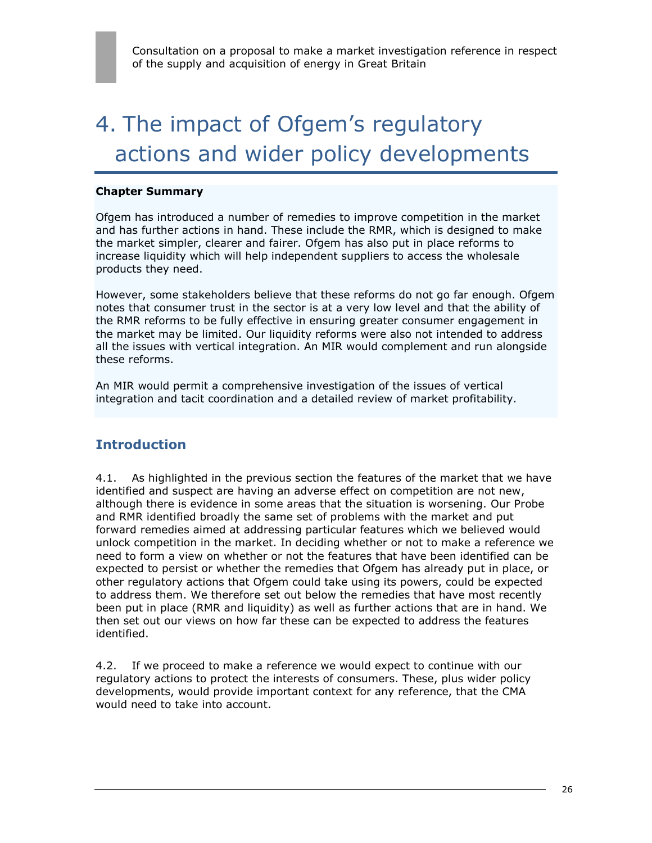# 4. The impact of Ofgem's regulatory actions and wider policy developments

#### **Chapter Summary**

Ofgem has introduced a number of remedies to improve competition in the market and has further actions in hand. These include the RMR, which is designed to make the market simpler, clearer and fairer. Ofgem has also put in place reforms to increase liquidity which will help independent suppliers to access the wholesale products they need.

However, some stakeholders believe that these reforms do not go far enough. Ofgem notes that consumer trust in the sector is at a very low level and that the ability of the RMR reforms to be fully effective in ensuring greater consumer engagement in the market may be limited. Our liquidity reforms were also not intended to address all the issues with vertical integration. An MIR would complement and run alongside these reforms.

An MIR would permit a comprehensive investigation of the issues of vertical integration and tacit coordination and a detailed review of market profitability.

## **Introduction**

4.1. As highlighted in the previous section the features of the market that we have identified and suspect are having an adverse effect on competition are not new, although there is evidence in some areas that the situation is worsening. Our Probe and RMR identified broadly the same set of problems with the market and put forward remedies aimed at addressing particular features which we believed would unlock competition in the market. In deciding whether or not to make a reference we need to form a view on whether or not the features that have been identified can be expected to persist or whether the remedies that Ofgem has already put in place, or other regulatory actions that Ofgem could take using its powers, could be expected to address them. We therefore set out below the remedies that have most recently been put in place (RMR and liquidity) as well as further actions that are in hand. We then set out our views on how far these can be expected to address the features identified.

4.2. If we proceed to make a reference we would expect to continue with our regulatory actions to protect the interests of consumers. These, plus wider policy developments, would provide important context for any reference, that the CMA would need to take into account.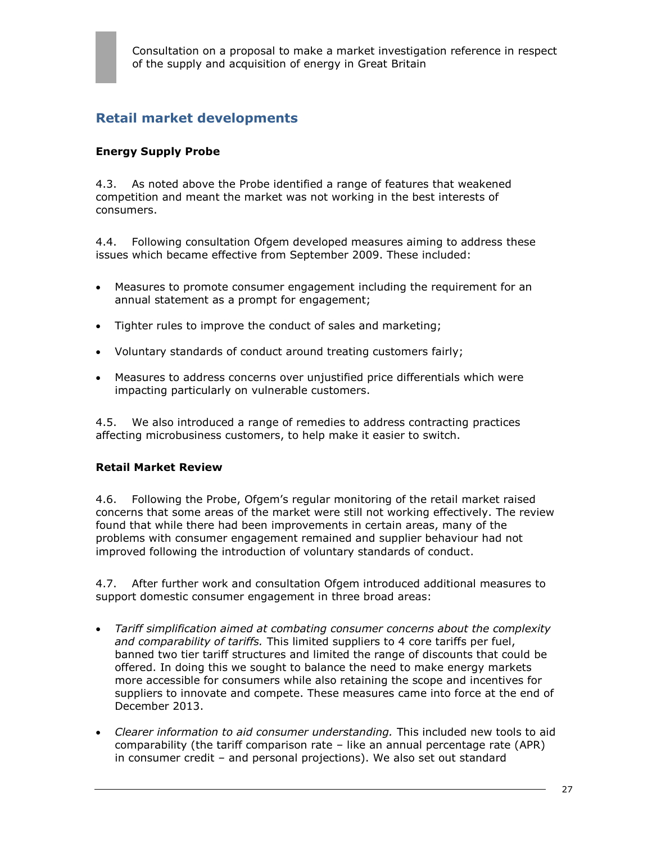# **Retail market developments**

### **Energy Supply Probe**

4.3. As noted above the Probe identified a range of features that weakened competition and meant the market was not working in the best interests of consumers.

4.4. Following consultation Ofgem developed measures aiming to address these issues which became effective from September 2009. These included:

- Measures to promote consumer engagement including the requirement for an annual statement as a prompt for engagement;
- Tighter rules to improve the conduct of sales and marketing;
- Voluntary standards of conduct around treating customers fairly;
- Measures to address concerns over unjustified price differentials which were impacting particularly on vulnerable customers.

4.5. We also introduced a range of remedies to address contracting practices affecting microbusiness customers, to help make it easier to switch.

#### **Retail Market Review**

4.6. Following the Probe, Ofgem's regular monitoring of the retail market raised concerns that some areas of the market were still not working effectively. The review found that while there had been improvements in certain areas, many of the problems with consumer engagement remained and supplier behaviour had not improved following the introduction of voluntary standards of conduct.

4.7. After further work and consultation Ofgem introduced additional measures to support domestic consumer engagement in three broad areas:

- *Tariff simplification aimed at combating consumer concerns about the complexity and comparability of tariffs.* This limited suppliers to 4 core tariffs per fuel, banned two tier tariff structures and limited the range of discounts that could be offered. In doing this we sought to balance the need to make energy markets more accessible for consumers while also retaining the scope and incentives for suppliers to innovate and compete. These measures came into force at the end of December 2013.
- *Clearer information to aid consumer understanding.* This included new tools to aid comparability (the tariff comparison rate – like an annual percentage rate (APR) in consumer credit – and personal projections). We also set out standard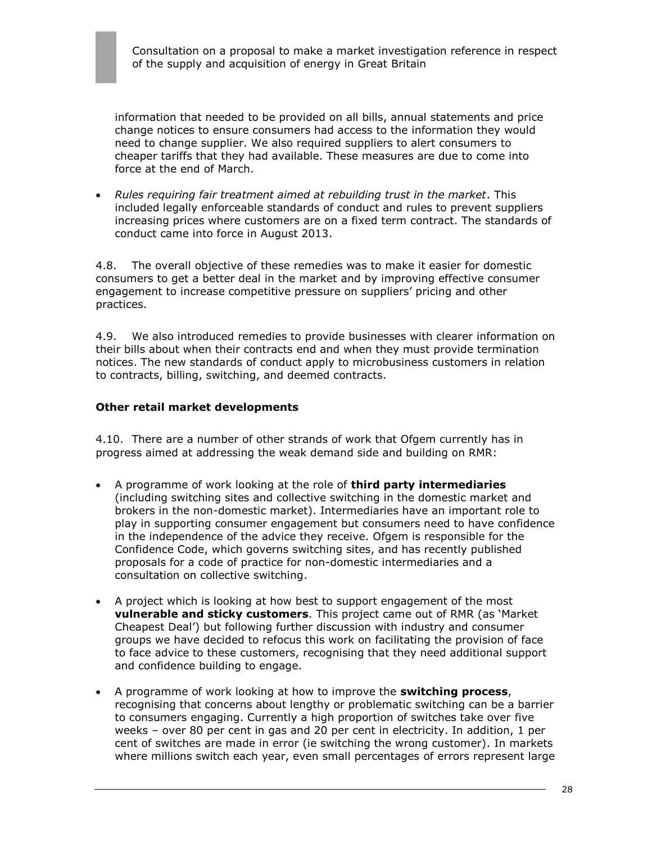information that needed to be provided on all bills, annual statements and price change notices to ensure consumers had access to the information they would need to change supplier. We also required suppliers to alert consumers to cheaper tariffs that they had available. These measures are due to come into force at the end of March.

 *Rules requiring fair treatment aimed at rebuilding trust in the market*. This included legally enforceable standards of conduct and rules to prevent suppliers increasing prices where customers are on a fixed term contract. The standards of conduct came into force in August 2013.

4.8. The overall objective of these remedies was to make it easier for domestic consumers to get a better deal in the market and by improving effective consumer engagement to increase competitive pressure on suppliers' pricing and other practices.

4.9. We also introduced remedies to provide businesses with clearer information on their bills about when their contracts end and when they must provide termination notices. The new standards of conduct apply to microbusiness customers in relation to contracts, billing, switching, and deemed contracts.

#### **Other retail market developments**

4.10. There are a number of other strands of work that Ofgem currently has in progress aimed at addressing the weak demand side and building on RMR:

- A programme of work looking at the role of **third party intermediaries** (including switching sites and collective switching in the domestic market and brokers in the non-domestic market). Intermediaries have an important role to play in supporting consumer engagement but consumers need to have confidence in the independence of the advice they receive. Ofgem is responsible for the Confidence Code, which governs switching sites, and has recently published proposals for a code of practice for non-domestic intermediaries and a consultation on collective switching.
- A project which is looking at how best to support engagement of the most **vulnerable and sticky customers**. This project came out of RMR (as 'Market Cheapest Deal') but following further discussion with industry and consumer groups we have decided to refocus this work on facilitating the provision of face to face advice to these customers, recognising that they need additional support and confidence building to engage.
- A programme of work looking at how to improve the **switching process**, recognising that concerns about lengthy or problematic switching can be a barrier to consumers engaging. Currently a high proportion of switches take over five weeks – over 80 per cent in gas and 20 per cent in electricity. In addition, 1 per cent of switches are made in error (ie switching the wrong customer). In markets where millions switch each year, even small percentages of errors represent large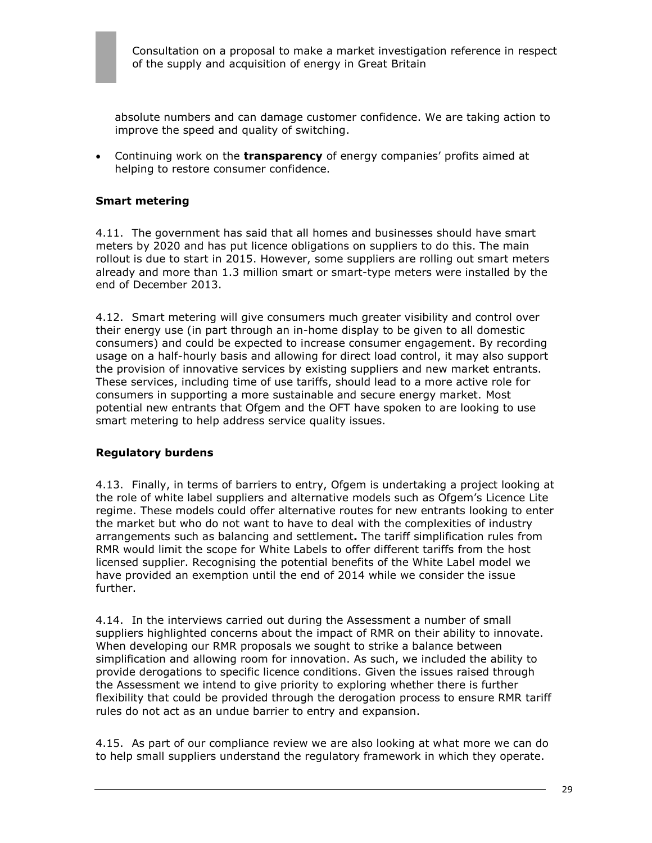absolute numbers and can damage customer confidence. We are taking action to improve the speed and quality of switching.

 Continuing work on the **transparency** of energy companies' profits aimed at helping to restore consumer confidence.

#### **Smart metering**

4.11. The government has said that all homes and businesses should have smart meters by 2020 and has put licence obligations on suppliers to do this. The main rollout is due to start in 2015. However, some suppliers are rolling out smart meters already and more than 1.3 million smart or smart-type meters were installed by the end of December 2013.

4.12. Smart metering will give consumers much greater visibility and control over their energy use (in part through an in-home display to be given to all domestic consumers) and could be expected to increase consumer engagement. By recording usage on a half-hourly basis and allowing for direct load control, it may also support the provision of innovative services by existing suppliers and new market entrants. These services, including time of use tariffs, should lead to a more active role for consumers in supporting a more sustainable and secure energy market. Most potential new entrants that Ofgem and the OFT have spoken to are looking to use smart metering to help address service quality issues.

#### **Regulatory burdens**

4.13. Finally, in terms of barriers to entry, Ofgem is undertaking a project looking at the role of white label suppliers and alternative models such as Ofgem's Licence Lite regime. These models could offer alternative routes for new entrants looking to enter the market but who do not want to have to deal with the complexities of industry arrangements such as balancing and settlement**.** The tariff simplification rules from RMR would limit the scope for White Labels to offer different tariffs from the host licensed supplier. Recognising the potential benefits of the White Label model we have provided an exemption until the end of 2014 while we consider the issue further.

4.14. In the interviews carried out during the Assessment a number of small suppliers highlighted concerns about the impact of RMR on their ability to innovate. When developing our RMR proposals we sought to strike a balance between simplification and allowing room for innovation. As such, we included the ability to provide derogations to specific licence conditions. Given the issues raised through the Assessment we intend to give priority to exploring whether there is further flexibility that could be provided through the derogation process to ensure RMR tariff rules do not act as an undue barrier to entry and expansion.

4.15. As part of our compliance review we are also looking at what more we can do to help small suppliers understand the regulatory framework in which they operate.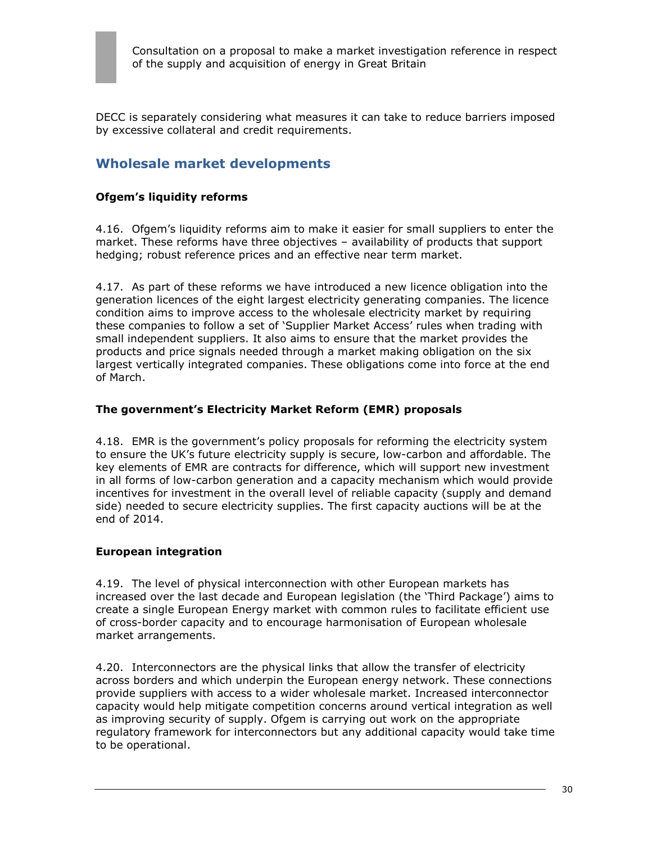DECC is separately considering what measures it can take to reduce barriers imposed by excessive collateral and credit requirements.

## **Wholesale market developments**

#### **Ofgem's liquidity reforms**

4.16. Ofgem's liquidity reforms aim to make it easier for small suppliers to enter the market. These reforms have three objectives – availability of products that support hedging; robust reference prices and an effective near term market.

4.17. As part of these reforms we have introduced a new licence obligation into the generation licences of the eight largest electricity generating companies. The licence condition aims to improve access to the wholesale electricity market by requiring these companies to follow a set of 'Supplier Market Access' rules when trading with small independent suppliers. It also aims to ensure that the market provides the products and price signals needed through a market making obligation on the six largest vertically integrated companies. These obligations come into force at the end of March.

#### **The government's Electricity Market Reform (EMR) proposals**

4.18. EMR is the government's policy proposals for reforming the electricity system to ensure the UK's future electricity supply is secure, low-carbon and affordable. The key elements of EMR are contracts for difference, which will support new investment in all forms of low-carbon generation and a capacity mechanism which would provide incentives for investment in the overall level of reliable capacity (supply and demand side) needed to secure electricity supplies. The first capacity auctions will be at the end of 2014.

#### **European integration**

4.19. The level of physical interconnection with other European markets has increased over the last decade and European legislation (the 'Third Package') aims to create a single European Energy market with common rules to facilitate efficient use of cross-border capacity and to encourage harmonisation of European wholesale market arrangements.

4.20. Interconnectors are the physical links that allow the transfer of electricity across borders and which underpin the European energy network. These connections provide suppliers with access to a wider wholesale market. Increased interconnector capacity would help mitigate competition concerns around vertical integration as well as improving security of supply. Ofgem is carrying out work on the appropriate regulatory framework for interconnectors but any additional capacity would take time to be operational.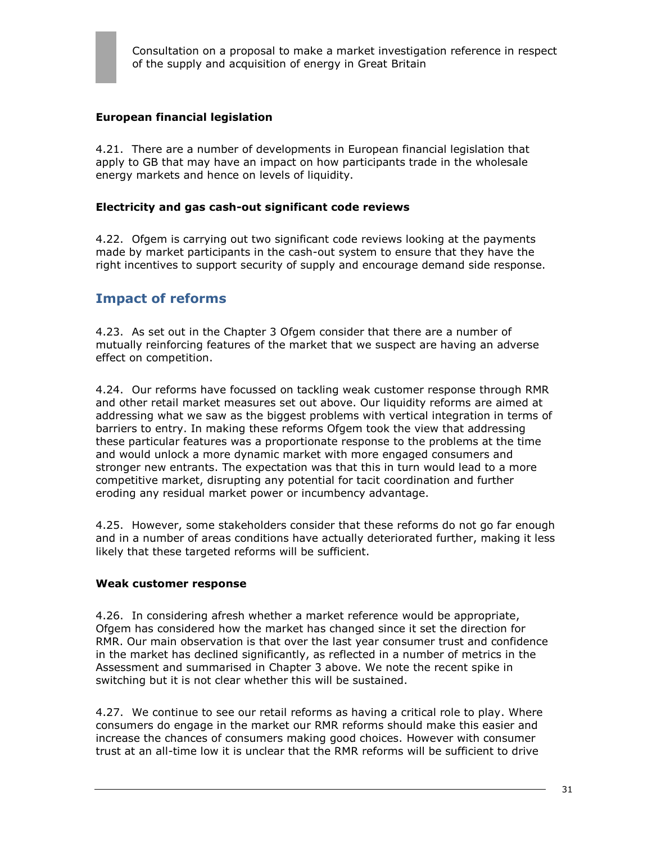### **European financial legislation**

4.21. There are a number of developments in European financial legislation that apply to GB that may have an impact on how participants trade in the wholesale energy markets and hence on levels of liquidity.

#### **Electricity and gas cash-out significant code reviews**

4.22. Ofgem is carrying out two significant code reviews looking at the payments made by market participants in the cash-out system to ensure that they have the right incentives to support security of supply and encourage demand side response.

## **Impact of reforms**

4.23. As set out in the Chapter 3 Ofgem consider that there are a number of mutually reinforcing features of the market that we suspect are having an adverse effect on competition.

4.24. Our reforms have focussed on tackling weak customer response through RMR and other retail market measures set out above. Our liquidity reforms are aimed at addressing what we saw as the biggest problems with vertical integration in terms of barriers to entry. In making these reforms Ofgem took the view that addressing these particular features was a proportionate response to the problems at the time and would unlock a more dynamic market with more engaged consumers and stronger new entrants. The expectation was that this in turn would lead to a more competitive market, disrupting any potential for tacit coordination and further eroding any residual market power or incumbency advantage.

4.25. However, some stakeholders consider that these reforms do not go far enough and in a number of areas conditions have actually deteriorated further, making it less likely that these targeted reforms will be sufficient.

#### **Weak customer response**

4.26. In considering afresh whether a market reference would be appropriate, Ofgem has considered how the market has changed since it set the direction for RMR. Our main observation is that over the last year consumer trust and confidence in the market has declined significantly, as reflected in a number of metrics in the Assessment and summarised in Chapter 3 above. We note the recent spike in switching but it is not clear whether this will be sustained.

4.27. We continue to see our retail reforms as having a critical role to play. Where consumers do engage in the market our RMR reforms should make this easier and increase the chances of consumers making good choices. However with consumer trust at an all-time low it is unclear that the RMR reforms will be sufficient to drive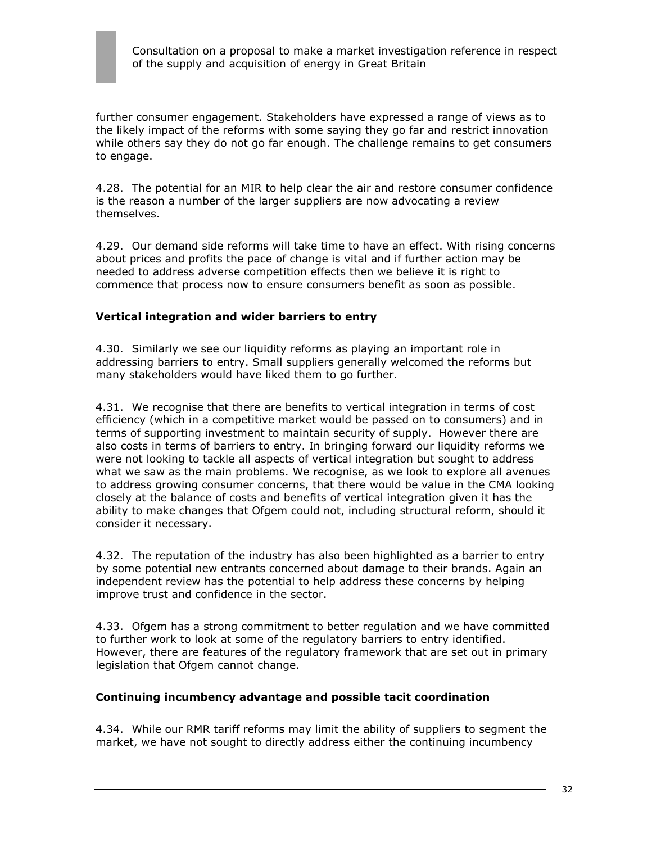further consumer engagement. Stakeholders have expressed a range of views as to the likely impact of the reforms with some saying they go far and restrict innovation while others say they do not go far enough. The challenge remains to get consumers to engage.

4.28. The potential for an MIR to help clear the air and restore consumer confidence is the reason a number of the larger suppliers are now advocating a review themselves.

4.29. Our demand side reforms will take time to have an effect. With rising concerns about prices and profits the pace of change is vital and if further action may be needed to address adverse competition effects then we believe it is right to commence that process now to ensure consumers benefit as soon as possible.

#### **Vertical integration and wider barriers to entry**

4.30. Similarly we see our liquidity reforms as playing an important role in addressing barriers to entry. Small suppliers generally welcomed the reforms but many stakeholders would have liked them to go further.

4.31. We recognise that there are benefits to vertical integration in terms of cost efficiency (which in a competitive market would be passed on to consumers) and in terms of supporting investment to maintain security of supply. However there are also costs in terms of barriers to entry. In bringing forward our liquidity reforms we were not looking to tackle all aspects of vertical integration but sought to address what we saw as the main problems. We recognise, as we look to explore all avenues to address growing consumer concerns, that there would be value in the CMA looking closely at the balance of costs and benefits of vertical integration given it has the ability to make changes that Ofgem could not, including structural reform, should it consider it necessary.

4.32. The reputation of the industry has also been highlighted as a barrier to entry by some potential new entrants concerned about damage to their brands. Again an independent review has the potential to help address these concerns by helping improve trust and confidence in the sector.

4.33. Ofgem has a strong commitment to better regulation and we have committed to further work to look at some of the regulatory barriers to entry identified. However, there are features of the regulatory framework that are set out in primary legislation that Ofgem cannot change.

#### **Continuing incumbency advantage and possible tacit coordination**

4.34. While our RMR tariff reforms may limit the ability of suppliers to segment the market, we have not sought to directly address either the continuing incumbency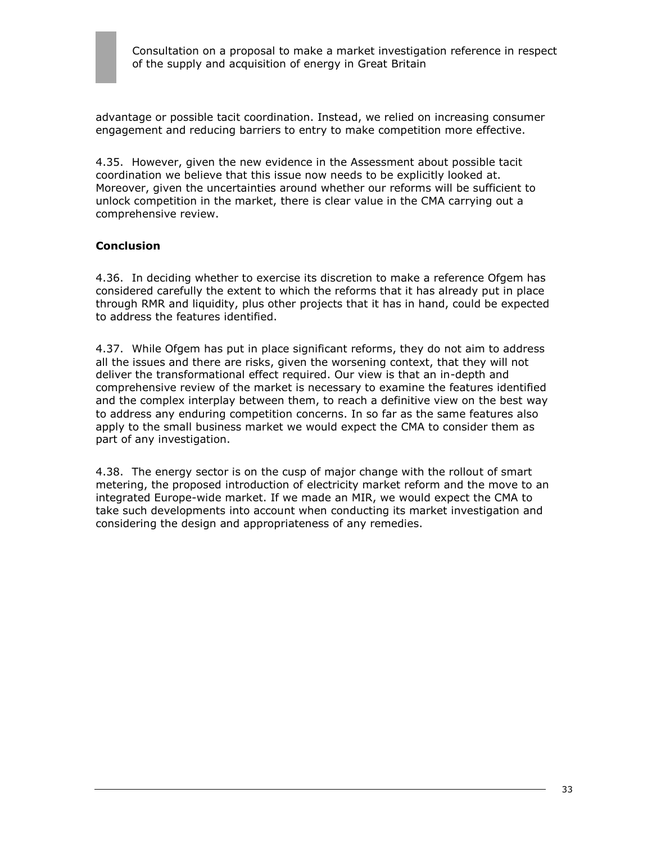

advantage or possible tacit coordination. Instead, we relied on increasing consumer engagement and reducing barriers to entry to make competition more effective.

4.35. However, given the new evidence in the Assessment about possible tacit coordination we believe that this issue now needs to be explicitly looked at. Moreover, given the uncertainties around whether our reforms will be sufficient to unlock competition in the market, there is clear value in the CMA carrying out a comprehensive review.

#### **Conclusion**

4.36. In deciding whether to exercise its discretion to make a reference Ofgem has considered carefully the extent to which the reforms that it has already put in place through RMR and liquidity, plus other projects that it has in hand, could be expected to address the features identified.

4.37. While Ofgem has put in place significant reforms, they do not aim to address all the issues and there are risks, given the worsening context, that they will not deliver the transformational effect required. Our view is that an in-depth and comprehensive review of the market is necessary to examine the features identified and the complex interplay between them, to reach a definitive view on the best way to address any enduring competition concerns. In so far as the same features also apply to the small business market we would expect the CMA to consider them as part of any investigation.

4.38. The energy sector is on the cusp of major change with the rollout of smart metering, the proposed introduction of electricity market reform and the move to an integrated Europe-wide market. If we made an MIR, we would expect the CMA to take such developments into account when conducting its market investigation and considering the design and appropriateness of any remedies.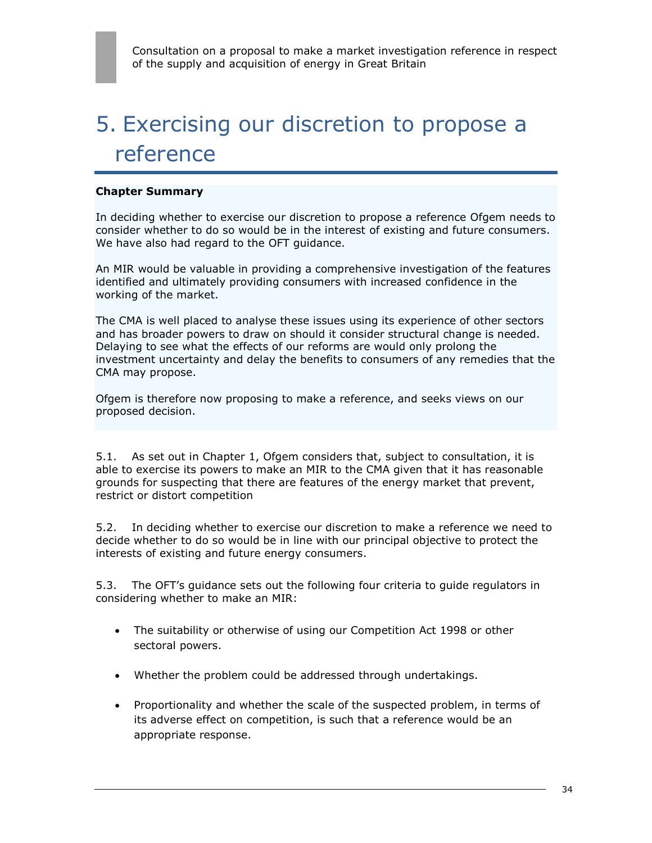# 5. Exercising our discretion to propose a reference

#### **Chapter Summary**

In deciding whether to exercise our discretion to propose a reference Ofgem needs to consider whether to do so would be in the interest of existing and future consumers. We have also had regard to the OFT guidance.

An MIR would be valuable in providing a comprehensive investigation of the features identified and ultimately providing consumers with increased confidence in the working of the market.

The CMA is well placed to analyse these issues using its experience of other sectors and has broader powers to draw on should it consider structural change is needed. Delaying to see what the effects of our reforms are would only prolong the investment uncertainty and delay the benefits to consumers of any remedies that the CMA may propose.

Ofgem is therefore now proposing to make a reference, and seeks views on our proposed decision.

5.1. As set out in Chapter 1, Ofgem considers that, subject to consultation, it is able to exercise its powers to make an MIR to the CMA given that it has reasonable grounds for suspecting that there are features of the energy market that prevent, restrict or distort competition

5.2. In deciding whether to exercise our discretion to make a reference we need to decide whether to do so would be in line with our principal objective to protect the interests of existing and future energy consumers.

5.3. The OFT's guidance sets out the following four criteria to guide regulators in considering whether to make an MIR:

- The suitability or otherwise of using our Competition Act 1998 or other sectoral powers.
- Whether the problem could be addressed through undertakings.
- Proportionality and whether the scale of the suspected problem, in terms of its adverse effect on competition, is such that a reference would be an appropriate response.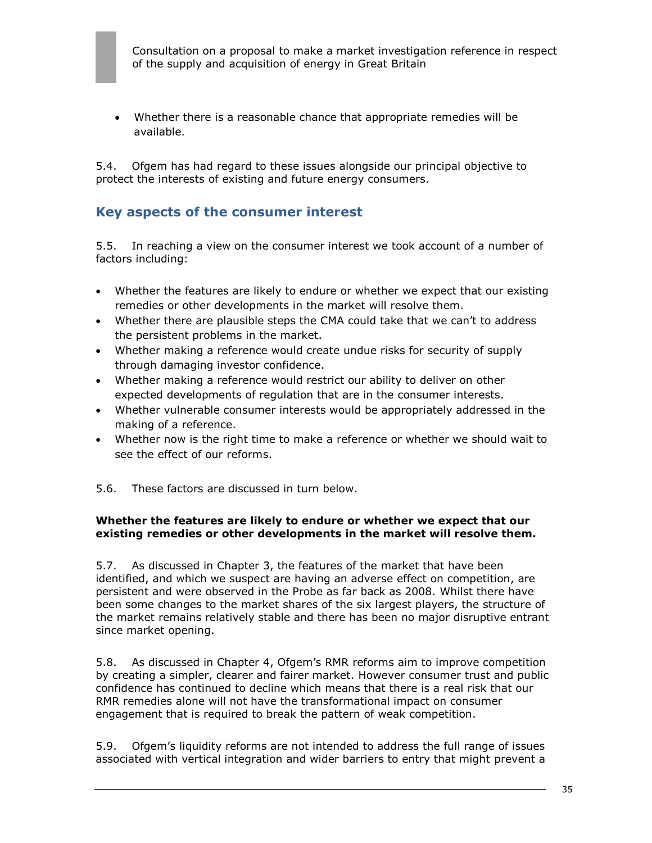Whether there is a reasonable chance that appropriate remedies will be available.

5.4. Ofgem has had regard to these issues alongside our principal objective to protect the interests of existing and future energy consumers.

## **Key aspects of the consumer interest**

5.5. In reaching a view on the consumer interest we took account of a number of factors including:

- Whether the features are likely to endure or whether we expect that our existing remedies or other developments in the market will resolve them.
- Whether there are plausible steps the CMA could take that we can't to address the persistent problems in the market.
- Whether making a reference would create undue risks for security of supply through damaging investor confidence.
- Whether making a reference would restrict our ability to deliver on other expected developments of regulation that are in the consumer interests.
- Whether vulnerable consumer interests would be appropriately addressed in the making of a reference.
- Whether now is the right time to make a reference or whether we should wait to see the effect of our reforms.
- 5.6. These factors are discussed in turn below.

#### **Whether the features are likely to endure or whether we expect that our existing remedies or other developments in the market will resolve them.**

5.7. As discussed in Chapter 3, the features of the market that have been identified, and which we suspect are having an adverse effect on competition, are persistent and were observed in the Probe as far back as 2008. Whilst there have been some changes to the market shares of the six largest players, the structure of the market remains relatively stable and there has been no major disruptive entrant since market opening.

5.8. As discussed in Chapter 4, Ofgem's RMR reforms aim to improve competition by creating a simpler, clearer and fairer market. However consumer trust and public confidence has continued to decline which means that there is a real risk that our RMR remedies alone will not have the transformational impact on consumer engagement that is required to break the pattern of weak competition.

5.9. Ofgem's liquidity reforms are not intended to address the full range of issues associated with vertical integration and wider barriers to entry that might prevent a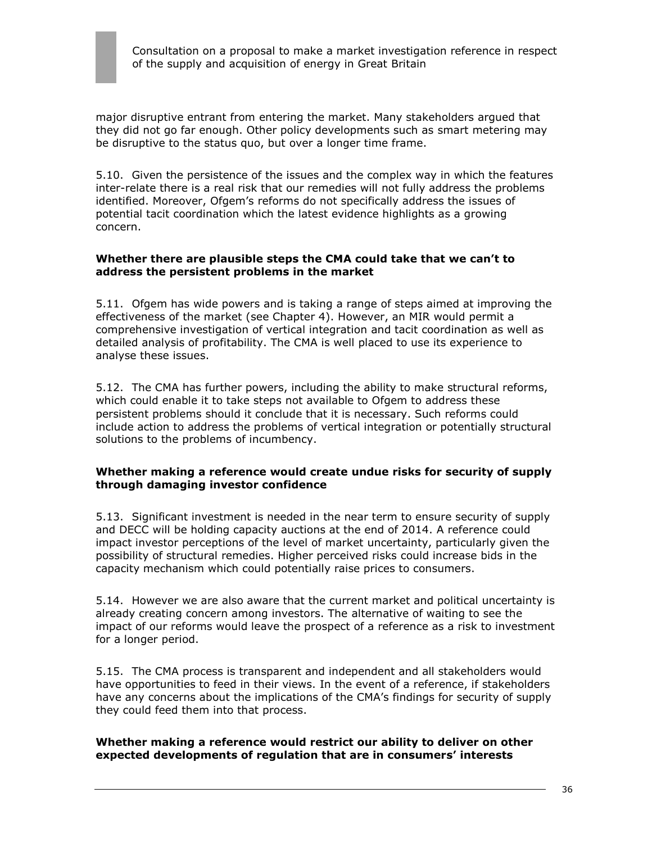

major disruptive entrant from entering the market. Many stakeholders argued that they did not go far enough. Other policy developments such as smart metering may be disruptive to the status quo, but over a longer time frame.

5.10. Given the persistence of the issues and the complex way in which the features inter-relate there is a real risk that our remedies will not fully address the problems identified. Moreover, Ofgem's reforms do not specifically address the issues of potential tacit coordination which the latest evidence highlights as a growing concern.

#### **Whether there are plausible steps the CMA could take that we can't to address the persistent problems in the market**

5.11. Ofgem has wide powers and is taking a range of steps aimed at improving the effectiveness of the market (see Chapter 4). However, an MIR would permit a comprehensive investigation of vertical integration and tacit coordination as well as detailed analysis of profitability. The CMA is well placed to use its experience to analyse these issues.

5.12. The CMA has further powers, including the ability to make structural reforms, which could enable it to take steps not available to Ofgem to address these persistent problems should it conclude that it is necessary. Such reforms could include action to address the problems of vertical integration or potentially structural solutions to the problems of incumbency.

#### **Whether making a reference would create undue risks for security of supply through damaging investor confidence**

5.13. Significant investment is needed in the near term to ensure security of supply and DECC will be holding capacity auctions at the end of 2014. A reference could impact investor perceptions of the level of market uncertainty, particularly given the possibility of structural remedies. Higher perceived risks could increase bids in the capacity mechanism which could potentially raise prices to consumers.

5.14. However we are also aware that the current market and political uncertainty is already creating concern among investors. The alternative of waiting to see the impact of our reforms would leave the prospect of a reference as a risk to investment for a longer period.

5.15. The CMA process is transparent and independent and all stakeholders would have opportunities to feed in their views. In the event of a reference, if stakeholders have any concerns about the implications of the CMA's findings for security of supply they could feed them into that process.

#### **Whether making a reference would restrict our ability to deliver on other expected developments of regulation that are in consumers' interests**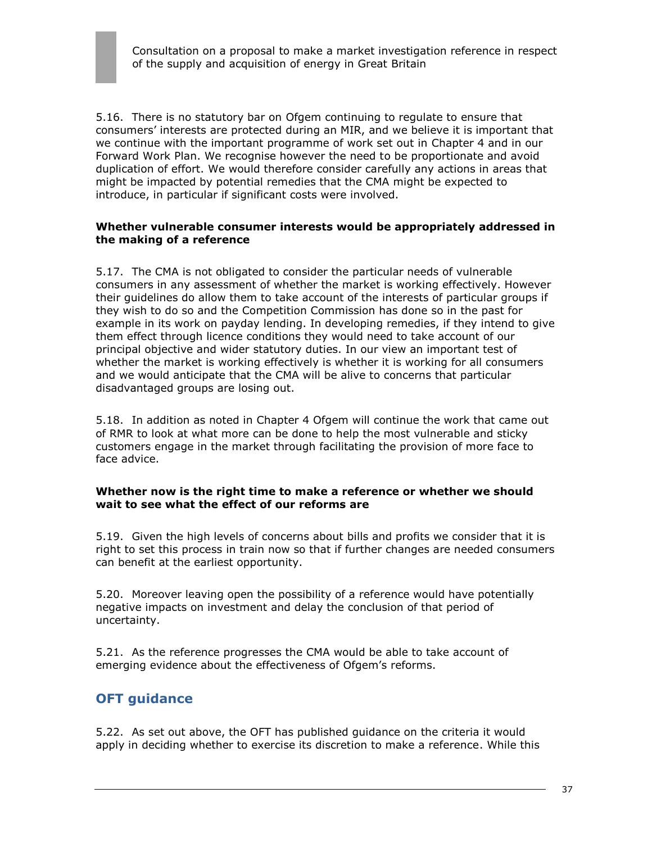5.16. There is no statutory bar on Ofgem continuing to regulate to ensure that consumers' interests are protected during an MIR, and we believe it is important that we continue with the important programme of work set out in Chapter 4 and in our Forward Work Plan. We recognise however the need to be proportionate and avoid duplication of effort. We would therefore consider carefully any actions in areas that might be impacted by potential remedies that the CMA might be expected to introduce, in particular if significant costs were involved.

#### **Whether vulnerable consumer interests would be appropriately addressed in the making of a reference**

5.17. The CMA is not obligated to consider the particular needs of vulnerable consumers in any assessment of whether the market is working effectively. However their guidelines do allow them to take account of the interests of particular groups if they wish to do so and the Competition Commission has done so in the past for example in its work on payday lending. In developing remedies, if they intend to give them effect through licence conditions they would need to take account of our principal objective and wider statutory duties. In our view an important test of whether the market is working effectively is whether it is working for all consumers and we would anticipate that the CMA will be alive to concerns that particular disadvantaged groups are losing out.

5.18. In addition as noted in Chapter 4 Ofgem will continue the work that came out of RMR to look at what more can be done to help the most vulnerable and sticky customers engage in the market through facilitating the provision of more face to face advice.

#### **Whether now is the right time to make a reference or whether we should wait to see what the effect of our reforms are**

5.19. Given the high levels of concerns about bills and profits we consider that it is right to set this process in train now so that if further changes are needed consumers can benefit at the earliest opportunity.

5.20. Moreover leaving open the possibility of a reference would have potentially negative impacts on investment and delay the conclusion of that period of uncertainty.

5.21. As the reference progresses the CMA would be able to take account of emerging evidence about the effectiveness of Ofgem's reforms.

## **OFT guidance**

5.22. As set out above, the OFT has published guidance on the criteria it would apply in deciding whether to exercise its discretion to make a reference. While this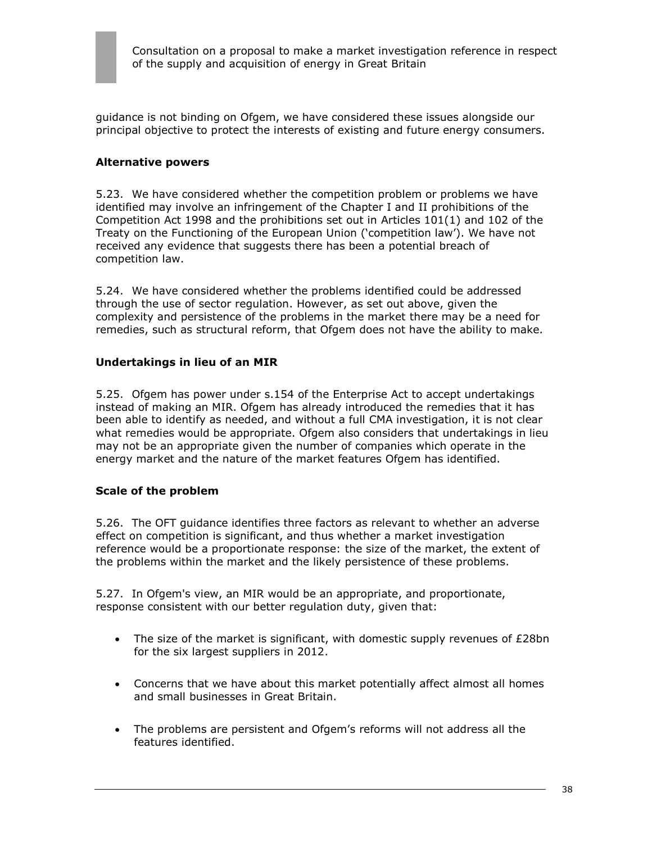

guidance is not binding on Ofgem, we have considered these issues alongside our principal objective to protect the interests of existing and future energy consumers.

#### **Alternative powers**

5.23. We have considered whether the competition problem or problems we have identified may involve an infringement of the Chapter I and II prohibitions of the Competition Act 1998 and the prohibitions set out in Articles 101(1) and 102 of the Treaty on the Functioning of the European Union ('competition law'). We have not received any evidence that suggests there has been a potential breach of competition law.

5.24. We have considered whether the problems identified could be addressed through the use of sector regulation. However, as set out above, given the complexity and persistence of the problems in the market there may be a need for remedies, such as structural reform, that Ofgem does not have the ability to make.

#### **Undertakings in lieu of an MIR**

5.25. Ofgem has power under s.154 of the Enterprise Act to accept undertakings instead of making an MIR. Ofgem has already introduced the remedies that it has been able to identify as needed, and without a full CMA investigation, it is not clear what remedies would be appropriate. Ofgem also considers that undertakings in lieu may not be an appropriate given the number of companies which operate in the energy market and the nature of the market features Ofgem has identified.

#### **Scale of the problem**

5.26. The OFT guidance identifies three factors as relevant to whether an adverse effect on competition is significant, and thus whether a market investigation reference would be a proportionate response: the size of the market, the extent of the problems within the market and the likely persistence of these problems.

5.27. In Ofgem's view, an MIR would be an appropriate, and proportionate, response consistent with our better regulation duty, given that:

- The size of the market is significant, with domestic supply revenues of  $E28bn$ for the six largest suppliers in 2012.
- Concerns that we have about this market potentially affect almost all homes and small businesses in Great Britain.
- The problems are persistent and Ofgem's reforms will not address all the features identified.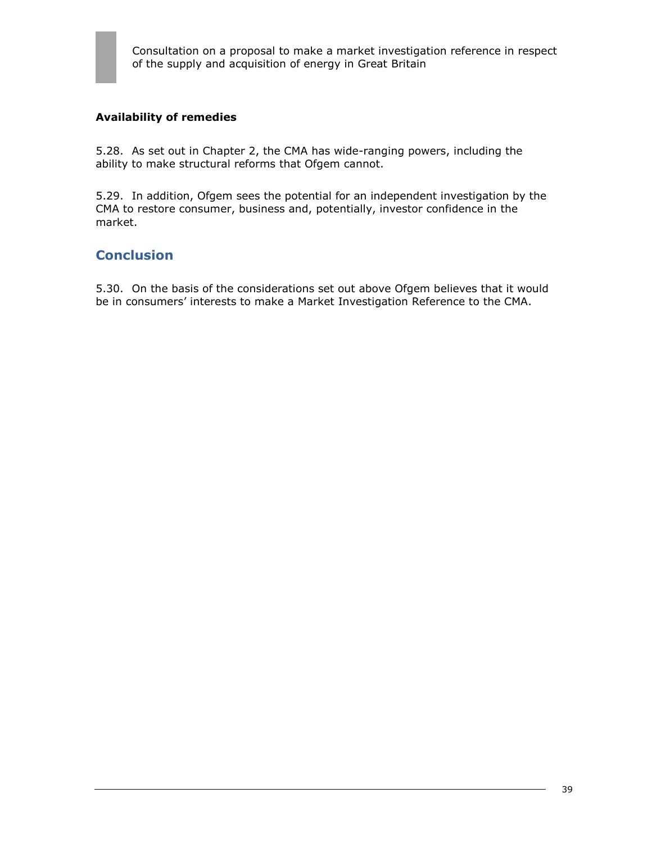

#### **Availability of remedies**

5.28. As set out in Chapter 2, the CMA has wide-ranging powers, including the ability to make structural reforms that Ofgem cannot.

5.29. In addition, Ofgem sees the potential for an independent investigation by the CMA to restore consumer, business and, potentially, investor confidence in the market.

### **Conclusion**

5.30. On the basis of the considerations set out above Ofgem believes that it would be in consumers' interests to make a Market Investigation Reference to the CMA.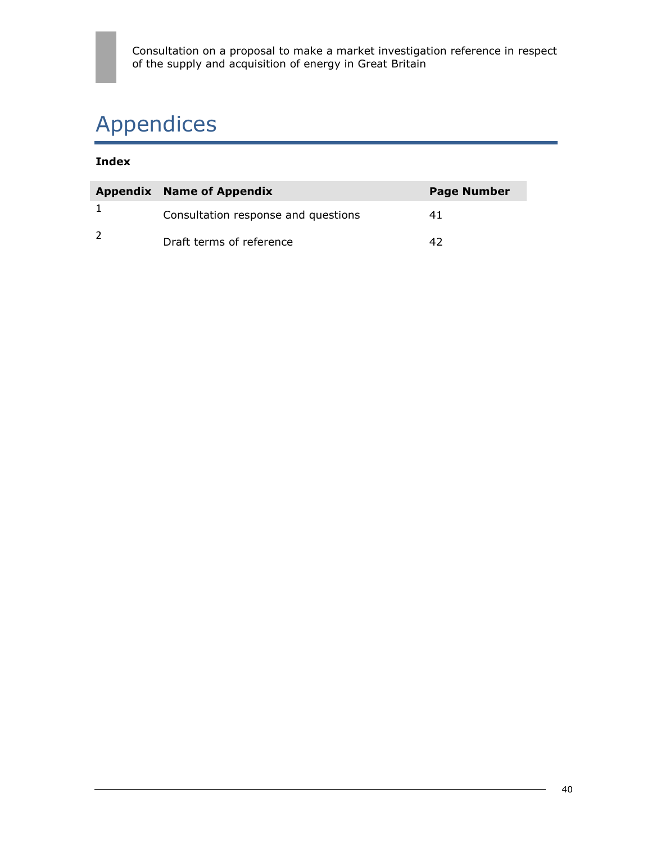# Appendices

### **Index**

| <b>Appendix Name of Appendix</b>    | <b>Page Number</b> |
|-------------------------------------|--------------------|
| Consultation response and questions |                    |
| Draft terms of reference            |                    |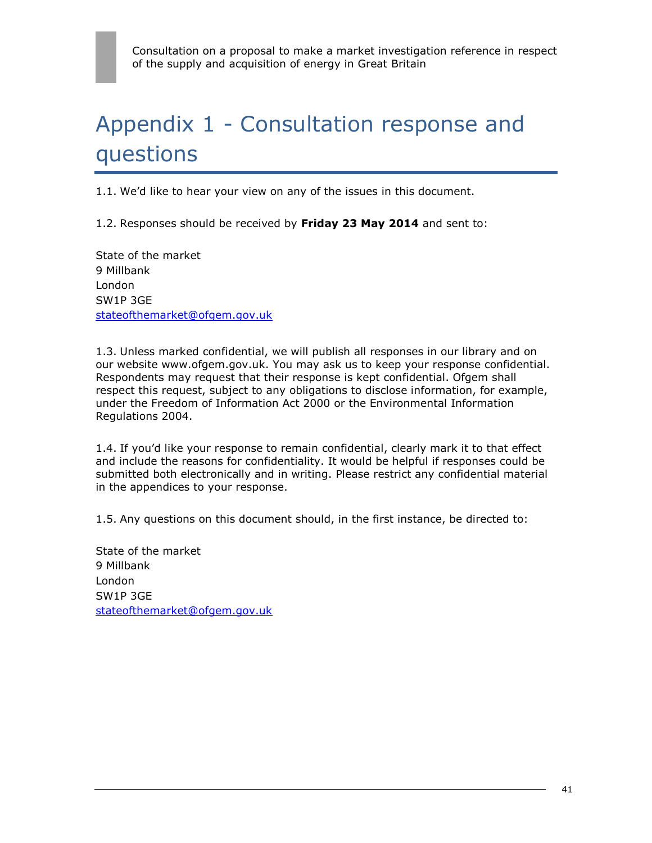# Appendix 1 - Consultation response and questions

1.1. We'd like to hear your view on any of the issues in this document.

1.2. Responses should be received by **Friday 23 May 2014** and sent to:

State of the market 9 Millbank London SW1P 3GE [stateofthemarket@ofgem.gov.uk](mailto:stateofthemarket@ofgem.gov.uk)

1.3. Unless marked confidential, we will publish all responses in our library and on our website [www.ofgem.gov.uk.](http://www.ofgem.gov.uk/) You may ask us to keep your response confidential. Respondents may request that their response is kept confidential. Ofgem shall respect this request, subject to any obligations to disclose information, for example, under the Freedom of Information Act 2000 or the Environmental Information Regulations 2004.

1.4. If you'd like your response to remain confidential, clearly mark it to that effect and include the reasons for confidentiality. It would be helpful if responses could be submitted both electronically and in writing. Please restrict any confidential material in the appendices to your response.

1.5. Any questions on this document should, in the first instance, be directed to:

State of the market 9 Millbank London SW1P 3GE [stateofthemarket@ofgem.gov.uk](mailto:stateofthemarket@ofgem.gov.uk)